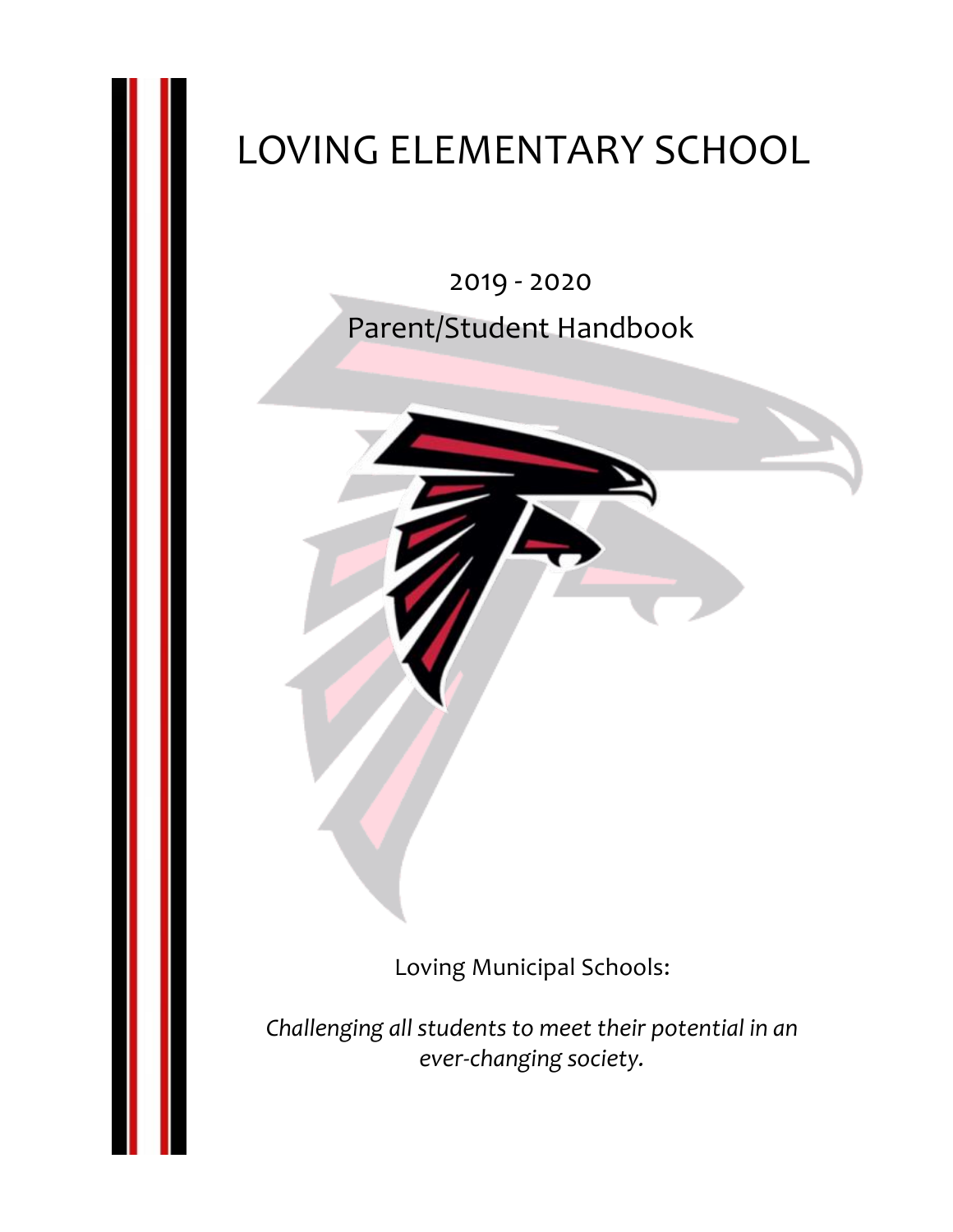# LOVING ELEMENTARY SCHOOL

2019 - 2020 Parent/Student Handbook

Loving Municipal Schools:

*Challenging all students to meet their potential in an ever-changing society.*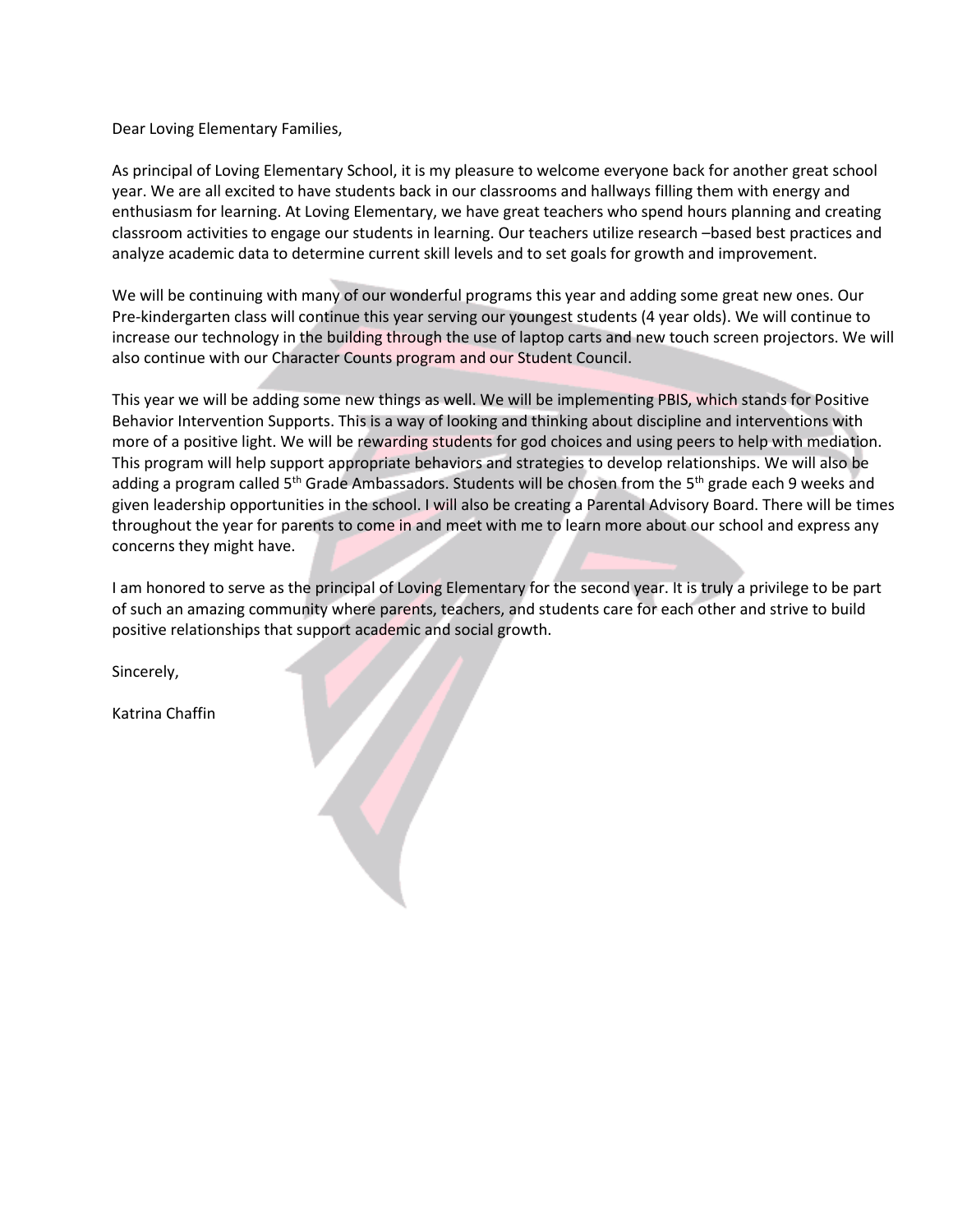Dear Loving Elementary Families,

As principal of Loving Elementary School, it is my pleasure to welcome everyone back for another great school year. We are all excited to have students back in our classrooms and hallways filling them with energy and enthusiasm for learning. At Loving Elementary, we have great teachers who spend hours planning and creating classroom activities to engage our students in learning. Our teachers utilize research –based best practices and analyze academic data to determine current skill levels and to set goals for growth and improvement.

We will be continuing with many of our wonderful programs this year and adding some great new ones. Our Pre-kindergarten class will continue this year serving our youngest students (4 year olds). We will continue to increase our technology in the building through the use of laptop carts and new touch screen projectors. We will also continue with our Character Counts program and our Student Council.

This year we will be adding some new things as well. We will be implementing PBIS, which stands for Positive Behavior Intervention Supports. This is a way of looking and thinking about discipline and interventions with more of a positive light. We will be rewarding students for god choices and using peers to help with mediation. This program will help support appropriate behaviors and strategies to develop relationships. We will also be adding a program called 5<sup>th</sup> Grade Ambassadors. Students will be chosen from the 5<sup>th</sup> grade each 9 weeks and given leadership opportunities in the school. I will also be creating a Parental Advisory Board. There will be times throughout the year for parents to come in and meet with me to learn more about our school and express any concerns they might have.

I am honored to serve as the principal of Loving Elementary for the second year. It is truly a privilege to be part of such an amazing community where parents, teachers, and students care for each other and strive to build positive relationships that support academic and social growth.

Sincerely,

Katrina Chaffin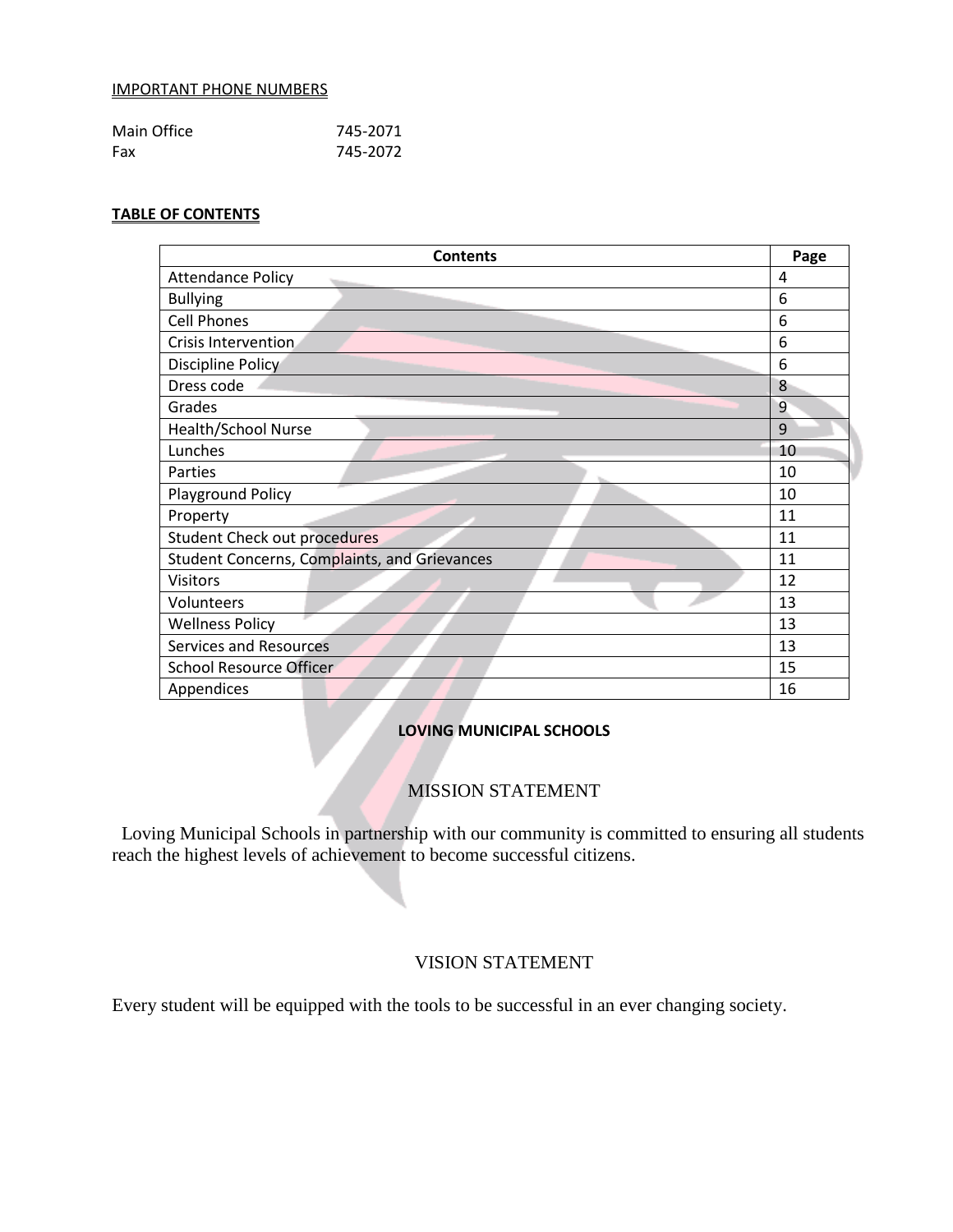#### IMPORTANT PHONE NUMBERS

| Main Office | 745-2071 |
|-------------|----------|
| Fax         | 745-2072 |

## **TABLE OF CONTENTS**

| <b>Contents</b>                              | Page |
|----------------------------------------------|------|
| <b>Attendance Policy</b>                     | 4    |
| <b>Bullying</b>                              | 6    |
| <b>Cell Phones</b>                           | 6    |
| Crisis Intervention                          | 6    |
| Discipline Policy                            | 6    |
| Dress code                                   | 8    |
| Grades                                       | 9    |
| <b>Health/School Nurse</b>                   | 9    |
| Lunches                                      | 10   |
| Parties                                      | 10   |
| Playground Policy                            | 10   |
| Property                                     | 11   |
| <b>Student Check out procedures</b>          | 11   |
| Student Concerns, Complaints, and Grievances | 11   |
| <b>Visitors</b>                              | 12   |
| Volunteers                                   | 13   |
| <b>Wellness Policy</b>                       | 13   |
| <b>Services and Resources</b>                | 13   |
| <b>School Resource Officer</b>               | 15   |
| Appendices                                   | 16   |

# **LOVING MUNICIPAL SCHOOLS**

# MISSION STATEMENT

 Loving Municipal Schools in partnership with our community is committed to ensuring all students reach the highest levels of achievement to become successful citizens.

## VISION STATEMENT

Every student will be equipped with the tools to be successful in an ever changing society.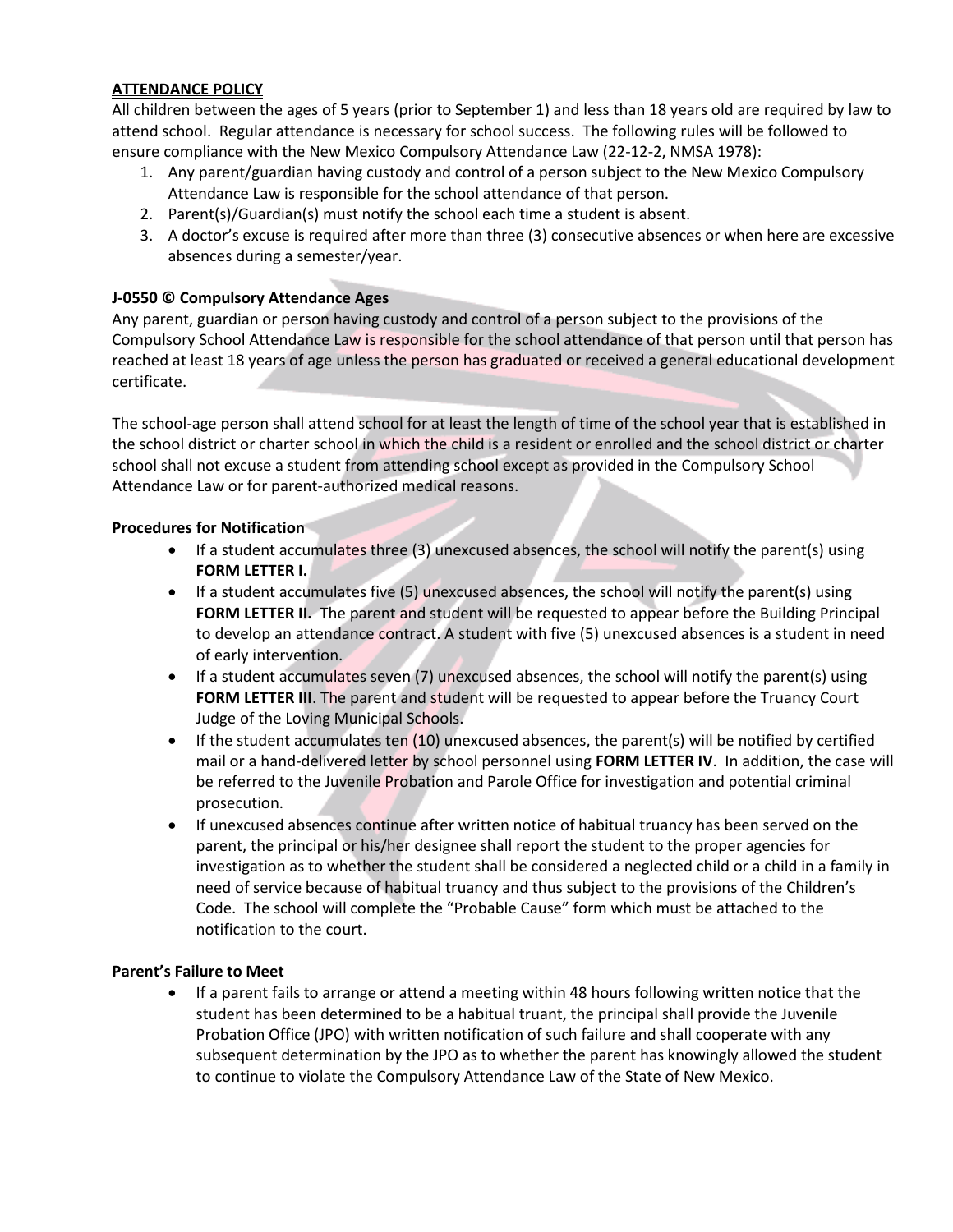## **ATTENDANCE POLICY**

All children between the ages of 5 years (prior to September 1) and less than 18 years old are required by law to attend school. Regular attendance is necessary for school success. The following rules will be followed to ensure compliance with the New Mexico Compulsory Attendance Law (22-12-2, NMSA 1978):

- 1. Any parent/guardian having custody and control of a person subject to the New Mexico Compulsory Attendance Law is responsible for the school attendance of that person.
- 2. Parent(s)/Guardian(s) must notify the school each time a student is absent.
- 3. A doctor's excuse is required after more than three (3) consecutive absences or when here are excessive absences during a semester/year.

## **J-0550 © Compulsory Attendance Ages**

Any parent, guardian or person having custody and control of a person subject to the provisions of the Compulsory School Attendance Law is responsible for the school attendance of that person until that person has reached at least 18 years of age unless the person has graduated or received a general educational development certificate.

The school-age person shall attend school for at least the length of time of the school year that is established in the school district or charter school in which the child is a resident or enrolled and the school district or charter school shall not excuse a student from attending school except as provided in the Compulsory School Attendance Law or for parent-authorized medical reasons.

## **Procedures for Notification**

- $\bullet$  If a student accumulates three (3) unexcused absences, the school will notify the parent(s) using **FORM LETTER I.**
- $\bullet$  If a student accumulates five (5) unexcused absences, the school will notify the parent(s) using **FORM LETTER II.** The parent and student will be requested to appear before the Building Principal to develop an attendance contract. A student with five (5) unexcused absences is a student in need of early intervention.
- $\bullet$  If a student accumulates seven (7) unexcused absences, the school will notify the parent(s) using **FORM LETTER III**. The parent and student will be requested to appear before the Truancy Court Judge of the Loving Municipal Schools.
- If the student accumulates ten (10) unexcused absences, the parent(s) will be notified by certified mail or a hand-delivered letter by school personnel using **FORM LETTER IV**. In addition, the case will be referred to the Juvenile Probation and Parole Office for investigation and potential criminal prosecution.
- If unexcused absences continue after written notice of habitual truancy has been served on the parent, the principal or his/her designee shall report the student to the proper agencies for investigation as to whether the student shall be considered a neglected child or a child in a family in need of service because of habitual truancy and thus subject to the provisions of the Children's Code. The school will complete the "Probable Cause" form which must be attached to the notification to the court.

## **Parent's Failure to Meet**

 If a parent fails to arrange or attend a meeting within 48 hours following written notice that the student has been determined to be a habitual truant, the principal shall provide the Juvenile Probation Office (JPO) with written notification of such failure and shall cooperate with any subsequent determination by the JPO as to whether the parent has knowingly allowed the student to continue to violate the Compulsory Attendance Law of the State of New Mexico.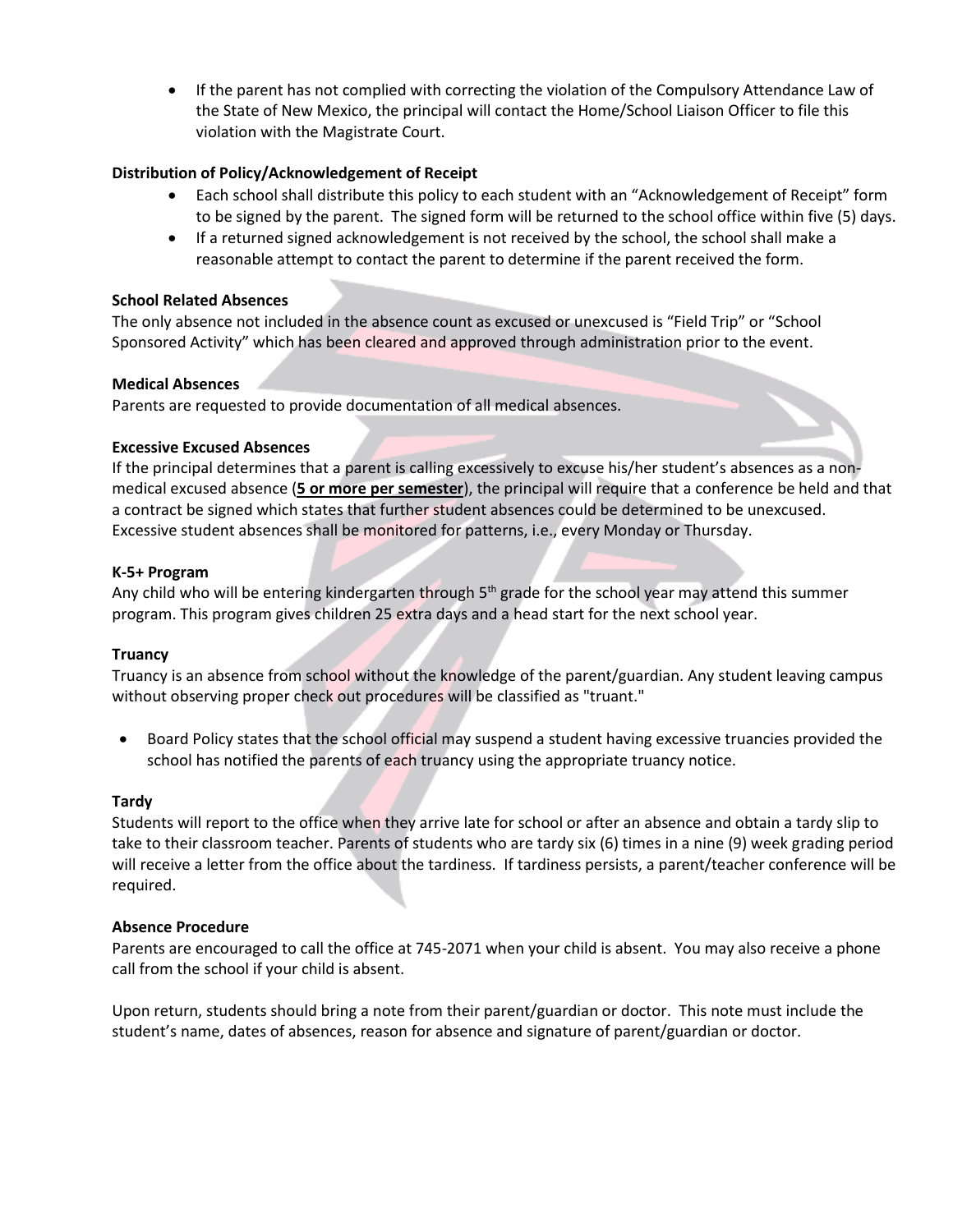If the parent has not complied with correcting the violation of the Compulsory Attendance Law of the State of New Mexico, the principal will contact the Home/School Liaison Officer to file this violation with the Magistrate Court.

## **Distribution of Policy/Acknowledgement of Receipt**

- Each school shall distribute this policy to each student with an "Acknowledgement of Receipt" form to be signed by the parent. The signed form will be returned to the school office within five (5) days.
- If a returned signed acknowledgement is not received by the school, the school shall make a reasonable attempt to contact the parent to determine if the parent received the form.

#### **School Related Absences**

The only absence not included in the absence count as excused or unexcused is "Field Trip" or "School Sponsored Activity" which has been cleared and approved through administration prior to the event.

#### **Medical Absences**

Parents are requested to provide documentation of all medical absences.

#### **Excessive Excused Absences**

If the principal determines that a parent is calling excessively to excuse his/her student's absences as a nonmedical excused absence (**5 or more per semester**), the principal will require that a conference be held and that a contract be signed which states that further student absences could be determined to be unexcused. Excessive student absences shall be monitored for patterns, i.e., every Monday or Thursday.

#### **K-5+ Program**

Any child who will be entering kindergarten through  $5<sup>th</sup>$  grade for the school year may attend this summer program. This program gives children 25 extra days and a head start for the next school year.

#### **Truancy**

Truancy is an absence from school without the knowledge of the parent/guardian. Any student leaving campus without observing proper check out procedures will be classified as "truant."

 Board Policy states that the school official may suspend a student having excessive truancies provided the school has notified the parents of each truancy using the appropriate truancy notice.

#### **Tardy**

Students will report to the office when they arrive late for school or after an absence and obtain a tardy slip to take to their classroom teacher. Parents of students who are tardy six (6) times in a nine (9) week grading period will receive a letter from the office about the tardiness. If tardiness persists, a parent/teacher conference will be required.

#### **Absence Procedure**

Parents are encouraged to call the office at 745-2071 when your child is absent. You may also receive a phone call from the school if your child is absent.

Upon return, students should bring a note from their parent/guardian or doctor. This note must include the student's name, dates of absences, reason for absence and signature of parent/guardian or doctor.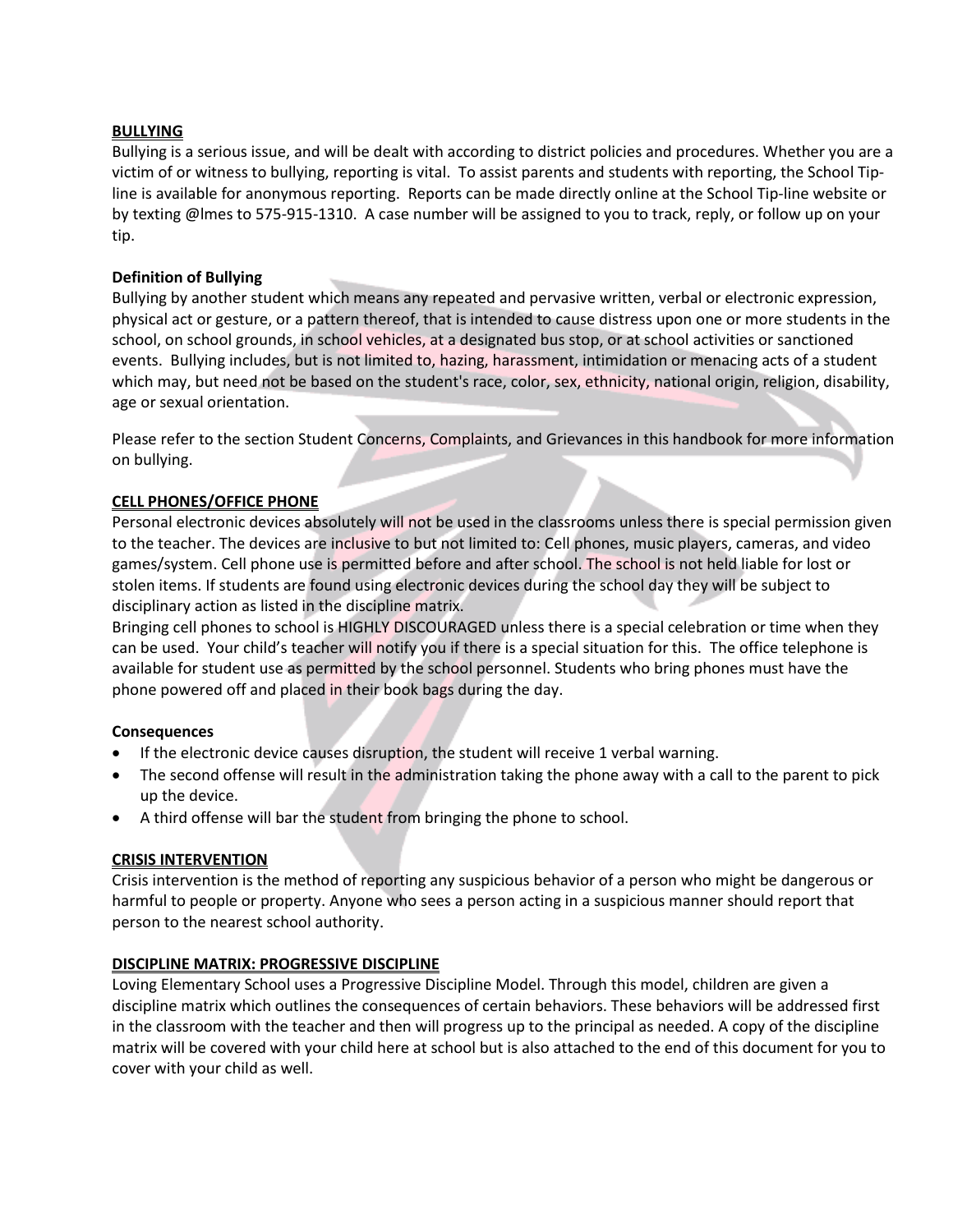## **BULLYING**

Bullying is a serious issue, and will be dealt with according to district policies and procedures. Whether you are a victim of or witness to bullying, reporting is vital. To assist parents and students with reporting, the School Tipline is available for anonymous reporting. Reports can be made directly online at the School Tip-line website or by texting @lmes to 575-915-1310. A case number will be assigned to you to track, reply, or follow up on your tip.

## **Definition of Bullying**

Bullying by another student which means any repeated and pervasive written, verbal or electronic expression, physical act or gesture, or a pattern thereof, that is intended to cause distress upon one or more students in the school, on school grounds, in school vehicles, at a designated bus stop, or at school activities or sanctioned events. Bullying includes, but is not limited to, hazing, harassment, intimidation or menacing acts of a student which may, but need not be based on the student's race, color, sex, ethnicity, national origin, religion, disability, age or sexual orientation.

Please refer to the section Student Concerns, Complaints, and Grievances in this handbook for more information on bullying.

## **CELL PHONES/OFFICE PHONE**

Personal electronic devices absolutely will not be used in the classrooms unless there is special permission given to the teacher. The devices are inclusive to but not limited to: Cell phones, music players, cameras, and video games/system. Cell phone use is permitted before and after school. The school is not held liable for lost or stolen items. If students are found using electronic devices during the school day they will be subject to disciplinary action as listed in the discipline matrix.

Bringing cell phones to school is HIGHLY DISCOURAGED unless there is a special celebration or time when they can be used. Your child's teacher will notify you if there is a special situation for this. The office telephone is available for student use as permitted by the school personnel. Students who bring phones must have the phone powered off and placed in their book bags during the day.

## **Consequences**

- If the electronic device causes disruption, the student will receive 1 verbal warning.
- The second offense will result in the administration taking the phone away with a call to the parent to pick up the device.
- A third offense will bar the student from bringing the phone to school.

# **CRISIS INTERVENTION**

Crisis intervention is the method of reporting any suspicious behavior of a person who might be dangerous or harmful to people or property. Anyone who sees a person acting in a suspicious manner should report that person to the nearest school authority.

## **DISCIPLINE MATRIX: PROGRESSIVE DISCIPLINE**

Loving Elementary School uses a Progressive Discipline Model. Through this model, children are given a discipline matrix which outlines the consequences of certain behaviors. These behaviors will be addressed first in the classroom with the teacher and then will progress up to the principal as needed. A copy of the discipline matrix will be covered with your child here at school but is also attached to the end of this document for you to cover with your child as well.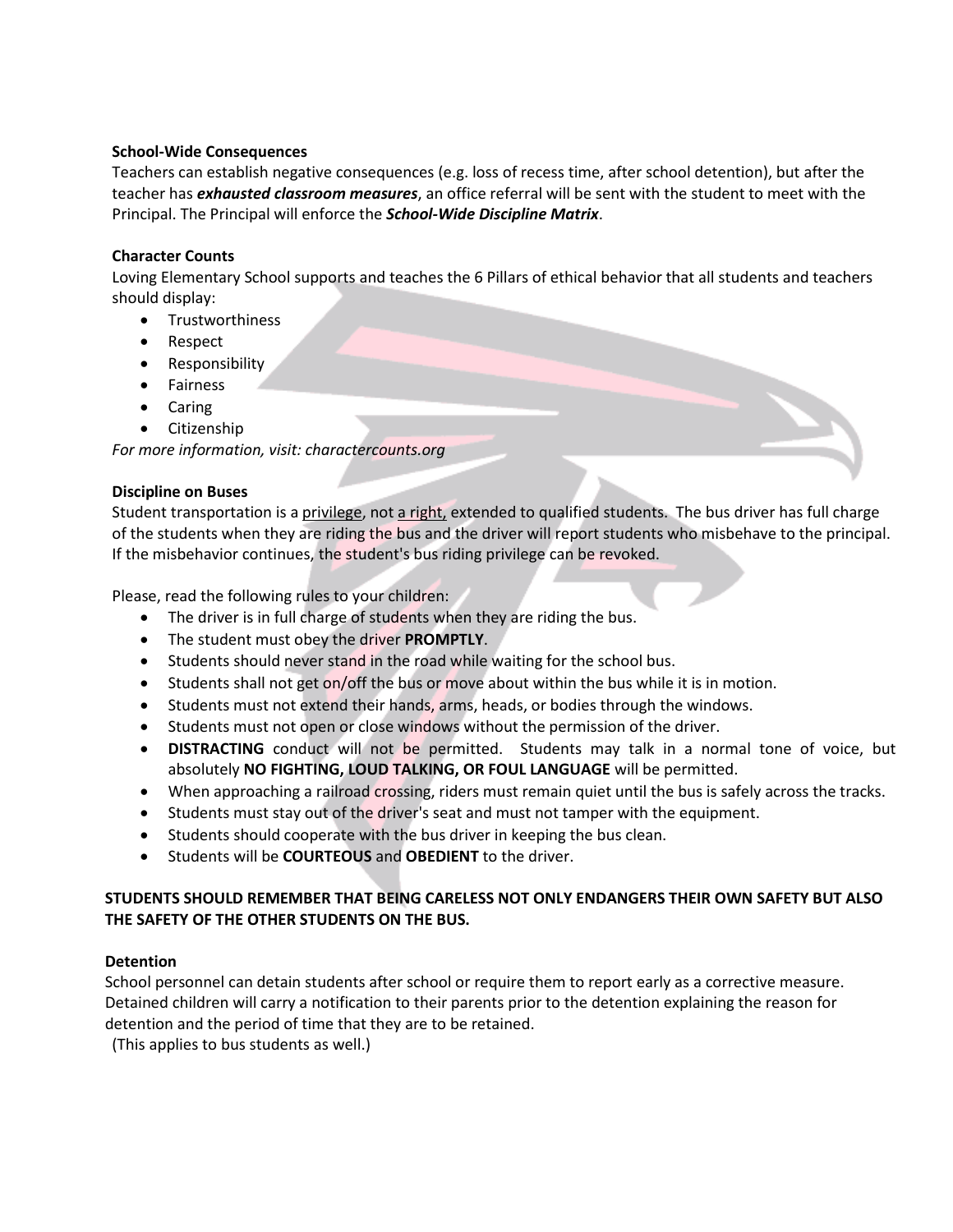## **School-Wide Consequences**

Teachers can establish negative consequences (e.g. loss of recess time, after school detention), but after the teacher has *exhausted classroom measures*, an office referral will be sent with the student to meet with the Principal. The Principal will enforce the *School-Wide Discipline Matrix*.

## **Character Counts**

Loving Elementary School supports and teaches the 6 Pillars of ethical behavior that all students and teachers should display:

- **•** Trustworthiness
- Respect
- Responsibility
- **•** Fairness
- Caring
- Citizenship

*For more information, visit: charactercounts.org*

## **Discipline on Buses**

Student transportation is a privilege, not a right, extended to qualified students. The bus driver has full charge of the students when they are riding the bus and the driver will report students who misbehave to the principal. If the misbehavior continues, the student's bus riding privilege can be revoked.

Please, read the following rules to your children:

- The driver is in full charge of students when they are riding the bus.
- The student must obey the driver **PROMPTLY**.
- Students should never stand in the road while waiting for the school bus.
- Students shall not get on/off the bus or move about within the bus while it is in motion.
- Students must not extend their hands, arms, heads, or bodies through the windows.
- Students must not open or close windows without the permission of the driver.
- **DISTRACTING** conduct will not be permitted. Students may talk in a normal tone of voice, but absolutely **NO FIGHTING, LOUD TALKING, OR FOUL LANGUAGE** will be permitted.
- When approaching a railroad crossing, riders must remain quiet until the bus is safely across the tracks.
- Students must stay out of the driver's seat and must not tamper with the equipment.
- Students should cooperate with the bus driver in keeping the bus clean.
- Students will be **COURTEOUS** and **OBEDIENT** to the driver.

## **STUDENTS SHOULD REMEMBER THAT BEING CARELESS NOT ONLY ENDANGERS THEIR OWN SAFETY BUT ALSO THE SAFETY OF THE OTHER STUDENTS ON THE BUS.**

## **Detention**

School personnel can detain students after school or require them to report early as a corrective measure. Detained children will carry a notification to their parents prior to the detention explaining the reason for detention and the period of time that they are to be retained.

(This applies to bus students as well.)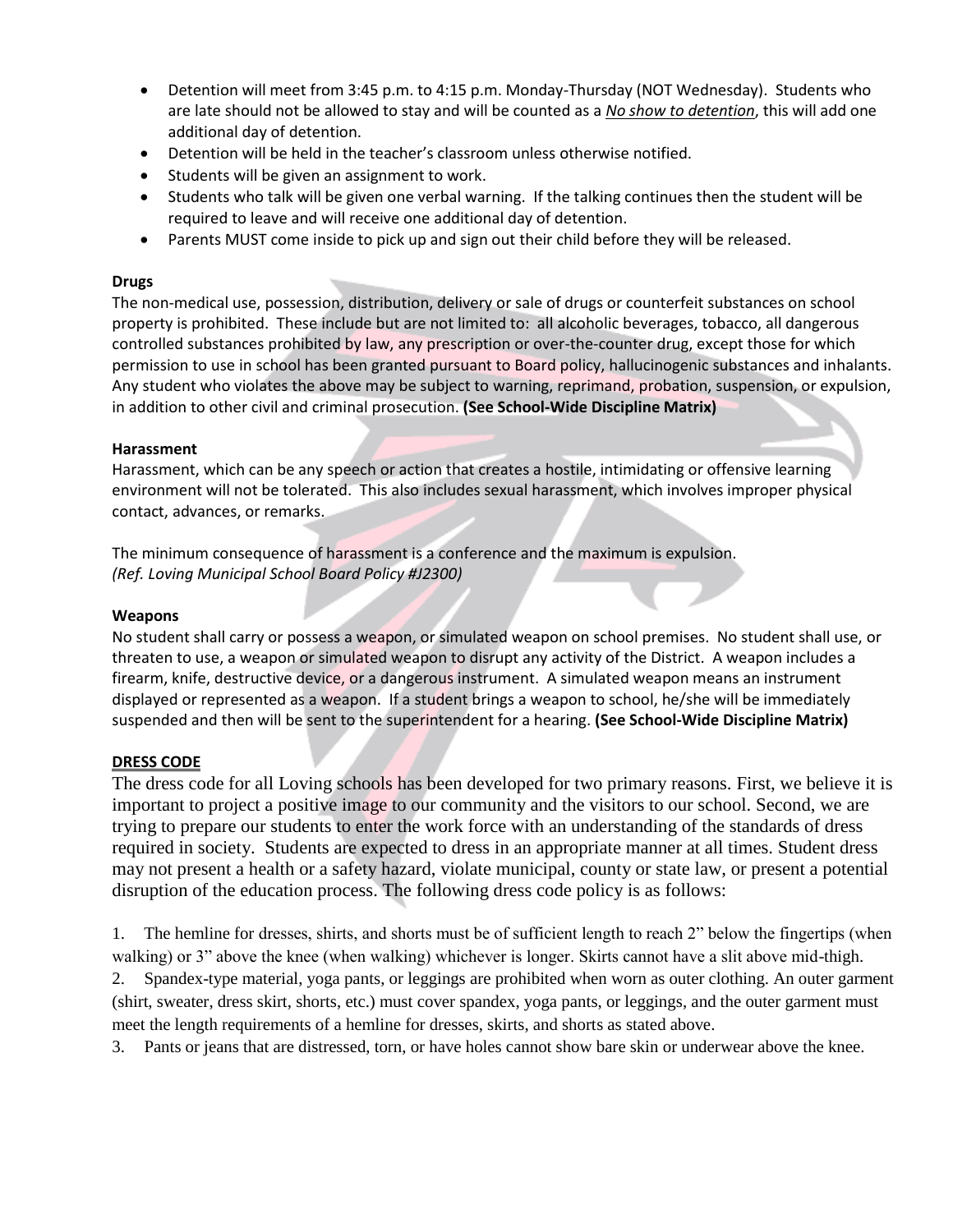- Detention will meet from 3:45 p.m. to 4:15 p.m. Monday-Thursday (NOT Wednesday). Students who are late should not be allowed to stay and will be counted as a *No show to detention*, this will add one additional day of detention.
- Detention will be held in the teacher's classroom unless otherwise notified.
- Students will be given an assignment to work.
- Students who talk will be given one verbal warning. If the talking continues then the student will be required to leave and will receive one additional day of detention.
- Parents MUST come inside to pick up and sign out their child before they will be released.

## **Drugs**

The non-medical use, possession, distribution, delivery or sale of drugs or counterfeit substances on school property is prohibited. These include but are not limited to: all alcoholic beverages, tobacco, all dangerous controlled substances prohibited by law, any prescription or over-the-counter drug, except those for which permission to use in school has been granted pursuant to Board policy, hallucinogenic substances and inhalants. Any student who violates the above may be subject to warning, reprimand, probation, suspension, or expulsion, in addition to other civil and criminal prosecution. **(See School-Wide Discipline Matrix)**

## **Harassment**

Harassment, which can be any speech or action that creates a hostile, intimidating or offensive learning environment will not be tolerated. This also includes sexual harassment, which involves improper physical contact, advances, or remarks.

The minimum consequence of harassment is a conference and the maximum is expulsion. *(Ref. Loving Municipal School Board Policy #J2300)*

## **Weapons**

No student shall carry or possess a weapon, or simulated weapon on school premises. No student shall use, or threaten to use, a weapon or simulated weapon to disrupt any activity of the District. A weapon includes a firearm, knife, destructive device, or a dangerous instrument. A simulated weapon means an instrument displayed or represented as a weapon. If a student brings a weapon to school, he/she will be immediately suspended and then will be sent to the superintendent for a hearing. **(See School-Wide Discipline Matrix)**

## **DRESS CODE**

The dress code for all Loving schools has been developed for two primary reasons. First, we believe it is important to project a positive image to our community and the visitors to our school. Second, we are trying to prepare our students to enter the work force with an understanding of the standards of dress required in society. Students are expected to dress in an appropriate manner at all times. Student dress may not present a health or a safety hazard, violate municipal, county or state law, or present a potential disruption of the education process. The following dress code policy is as follows:

1. The hemline for dresses, shirts, and shorts must be of sufficient length to reach 2" below the fingertips (when walking) or 3" above the knee (when walking) whichever is longer. Skirts cannot have a slit above mid-thigh. 2. Spandex-type material, yoga pants, or leggings are prohibited when worn as outer clothing. An outer garment (shirt, sweater, dress skirt, shorts, etc.) must cover spandex, yoga pants, or leggings, and the outer garment must meet the length requirements of a hemline for dresses, skirts, and shorts as stated above.

3. Pants or jeans that are distressed, torn, or have holes cannot show bare skin or underwear above the knee.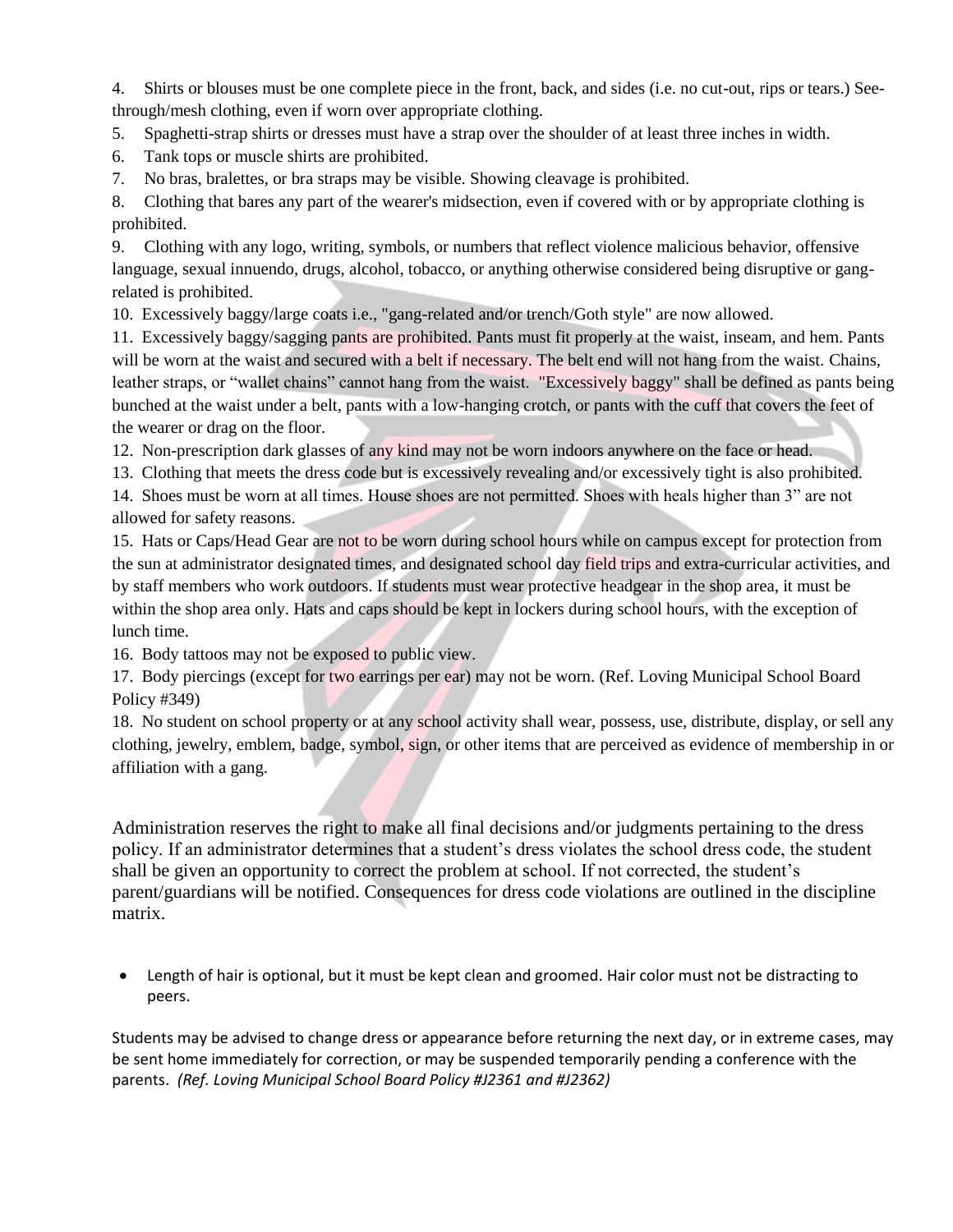4. Shirts or blouses must be one complete piece in the front, back, and sides (i.e. no cut-out, rips or tears.) Seethrough/mesh clothing, even if worn over appropriate clothing.

5. Spaghetti-strap shirts or dresses must have a strap over the shoulder of at least three inches in width.

6. Tank tops or muscle shirts are prohibited.

7. No bras, bralettes, or bra straps may be visible. Showing cleavage is prohibited.

8. Clothing that bares any part of the wearer's midsection, even if covered with or by appropriate clothing is prohibited.

9. Clothing with any logo, writing, symbols, or numbers that reflect violence malicious behavior, offensive language, sexual innuendo, drugs, alcohol, tobacco, or anything otherwise considered being disruptive or gangrelated is prohibited.

10. Excessively baggy/large coats i.e., "gang-related and/or trench/Goth style" are now allowed.

11. Excessively baggy/sagging pants are prohibited. Pants must fit properly at the waist, inseam, and hem. Pants will be worn at the waist and secured with a belt if necessary. The belt end will not hang from the waist. Chains, leather straps, or "wallet chains" cannot hang from the waist. "Excessively baggy" shall be defined as pants being bunched at the waist under a belt, pants with a low-hanging crotch, or pants with the cuff that covers the feet of the wearer or drag on the floor.

12. Non-prescription dark glasses of any kind may not be worn indoors anywhere on the face or head.

13. Clothing that meets the dress code but is excessively revealing and/or excessively tight is also prohibited.

14. Shoes must be worn at all times. House shoes are not permitted. Shoes with heals higher than 3" are not allowed for safety reasons.

15. Hats or Caps/Head Gear are not to be worn during school hours while on campus except for protection from the sun at administrator designated times, and designated school day field trips and extra-curricular activities, and by staff members who work outdoors. If students must wear protective headgear in the shop area, it must be within the shop area only. Hats and caps should be kept in lockers during school hours, with the exception of lunch time.

16. Body tattoos may not be exposed to public view.

17. Body piercings (except for two earrings per ear) may not be worn. (Ref. Loving Municipal School Board Policy #349)

18. No student on school property or at any school activity shall wear, possess, use, distribute, display, or sell any clothing, jewelry, emblem, badge, symbol, sign, or other items that are perceived as evidence of membership in or affiliation with a gang.

Administration reserves the right to make all final decisions and/or judgments pertaining to the dress policy. If an administrator determines that a student's dress violates the school dress code, the student shall be given an opportunity to correct the problem at school. If not corrected, the student's parent/guardians will be notified. Consequences for dress code violations are outlined in the discipline matrix.

 Length of hair is optional, but it must be kept clean and groomed. Hair color must not be distracting to peers.

Students may be advised to change dress or appearance before returning the next day, or in extreme cases, may be sent home immediately for correction, or may be suspended temporarily pending a conference with the parents. *(Ref. Loving Municipal School Board Policy #J2361 and #J2362)*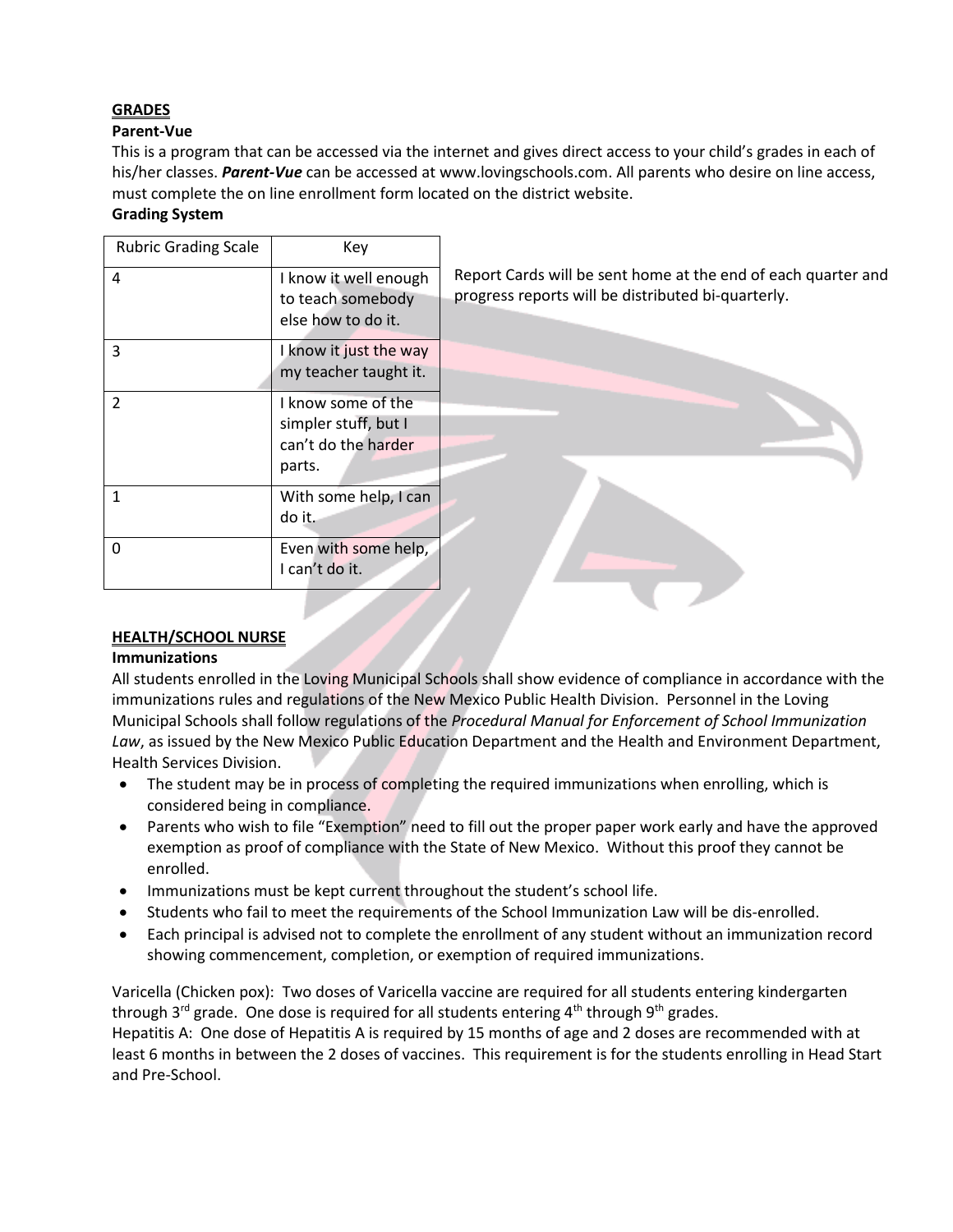# **GRADES**

## **Parent-Vue**

This is a program that can be accessed via the internet and gives direct access to your child's grades in each of his/her classes. *Parent-Vue* can be accessed a[t www.lovingschools.com.](http://www.lovingschools.com/) All parents who desire on line access, must complete the on line enrollment form located on the district website.

# **Grading System**

| <b>Rubric Grading Scale</b> | Key                    |                                                               |
|-----------------------------|------------------------|---------------------------------------------------------------|
| 4                           | I know it well enough  | Report Cards will be sent home at the end of each quarter and |
|                             | to teach somebody      | progress reports will be distributed bi-quarterly.            |
|                             | else how to do it.     |                                                               |
| 3                           | I know it just the way |                                                               |
|                             | my teacher taught it.  |                                                               |
| 2                           | I know some of the     |                                                               |
|                             | simpler stuff, but I   |                                                               |
|                             | can't do the harder    |                                                               |
|                             | parts.                 |                                                               |
| 1                           | With some help, I can  |                                                               |
|                             | do it.                 |                                                               |
| $\mathbf{0}$                | Even with some help,   |                                                               |
|                             | I can't do it.         |                                                               |
|                             |                        |                                                               |

# **HEALTH/SCHOOL NURSE**

## **Immunizations**

All students enrolled in the Loving Municipal Schools shall show evidence of compliance in accordance with the immunizations rules and regulations of the New Mexico Public Health Division. Personnel in the Loving Municipal Schools shall follow regulations of the *Procedural Manual for Enforcement of School Immunization Law*, as issued by the New Mexico Public Education Department and the Health and Environment Department, Health Services Division.

- The student may be in process of completing the required immunizations when enrolling, which is considered being in compliance.
- Parents who wish to file "Exemption" need to fill out the proper paper work early and have the approved exemption as proof of compliance with the State of New Mexico. Without this proof they cannot be enrolled.
- Immunizations must be kept current throughout the student's school life.
- Students who fail to meet the requirements of the School Immunization Law will be dis-enrolled.
- Each principal is advised not to complete the enrollment of any student without an immunization record showing commencement, completion, or exemption of required immunizations.

Varicella (Chicken pox): Two doses of Varicella vaccine are required for all students entering kindergarten through  $3^{rd}$  grade. One dose is required for all students entering  $4^{th}$  through  $9^{th}$  grades. Hepatitis A: One dose of Hepatitis A is required by 15 months of age and 2 doses are recommended with at least 6 months in between the 2 doses of vaccines. This requirement is for the students enrolling in Head Start and Pre-School.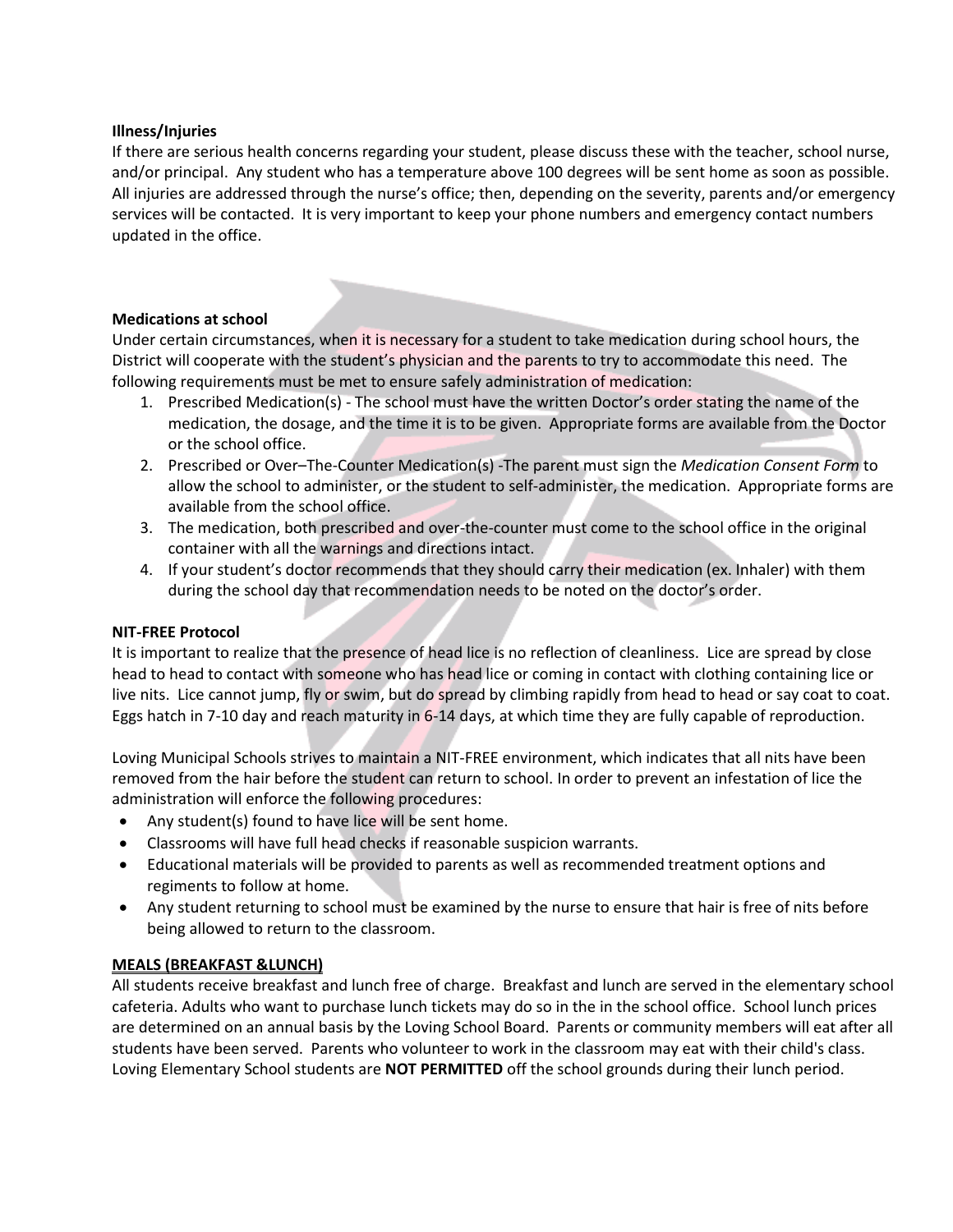#### **Illness/Injuries**

If there are serious health concerns regarding your student, please discuss these with the teacher, school nurse, and/or principal. Any student who has a temperature above 100 degrees will be sent home as soon as possible. All injuries are addressed through the nurse's office; then, depending on the severity, parents and/or emergency services will be contacted. It is very important to keep your phone numbers and emergency contact numbers updated in the office.

## **Medications at school**

Under certain circumstances, when it is necessary for a student to take medication during school hours, the District will cooperate with the student's physician and the parents to try to accommodate this need. The following requirements must be met to ensure safely administration of medication:

- 1. Prescribed Medication(s) The school must have the written Doctor's order stating the name of the medication, the dosage, and the time it is to be given. Appropriate forms are available from the Doctor or the school office.
- 2. Prescribed or Over–The-Counter Medication(s) -The parent must sign the *Medication Consent Form* to allow the school to administer, or the student to self-administer, the medication. Appropriate forms are available from the school office.
- 3. The medication, both prescribed and over-the-counter must come to the school office in the original container with all the warnings and directions intact.
- 4. If your student's doctor recommends that they should carry their medication (ex. Inhaler) with them during the school day that recommendation needs to be noted on the doctor's order.

#### **NIT-FREE Protocol**

It is important to realize that the presence of head lice is no reflection of cleanliness. Lice are spread by close head to head to contact with someone who has head lice or coming in contact with clothing containing lice or live nits. Lice cannot jump, fly or swim, but do spread by climbing rapidly from head to head or say coat to coat. Eggs hatch in 7-10 day and reach maturity in 6-14 days, at which time they are fully capable of reproduction.

Loving Municipal Schools strives to maintain a NIT-FREE environment, which indicates that all nits have been removed from the hair before the student can return to school. In order to prevent an infestation of lice the administration will enforce the following procedures:

- Any student(s) found to have lice will be sent home.
- Classrooms will have full head checks if reasonable suspicion warrants.
- Educational materials will be provided to parents as well as recommended treatment options and regiments to follow at home.
- Any student returning to school must be examined by the nurse to ensure that hair is free of nits before being allowed to return to the classroom.

## **MEALS (BREAKFAST &LUNCH)**

All students receive breakfast and lunch free of charge. Breakfast and lunch are served in the elementary school cafeteria. Adults who want to purchase lunch tickets may do so in the in the school office. School lunch prices are determined on an annual basis by the Loving School Board. Parents or community members will eat after all students have been served. Parents who volunteer to work in the classroom may eat with their child's class. Loving Elementary School students are **NOT PERMITTED** off the school grounds during their lunch period.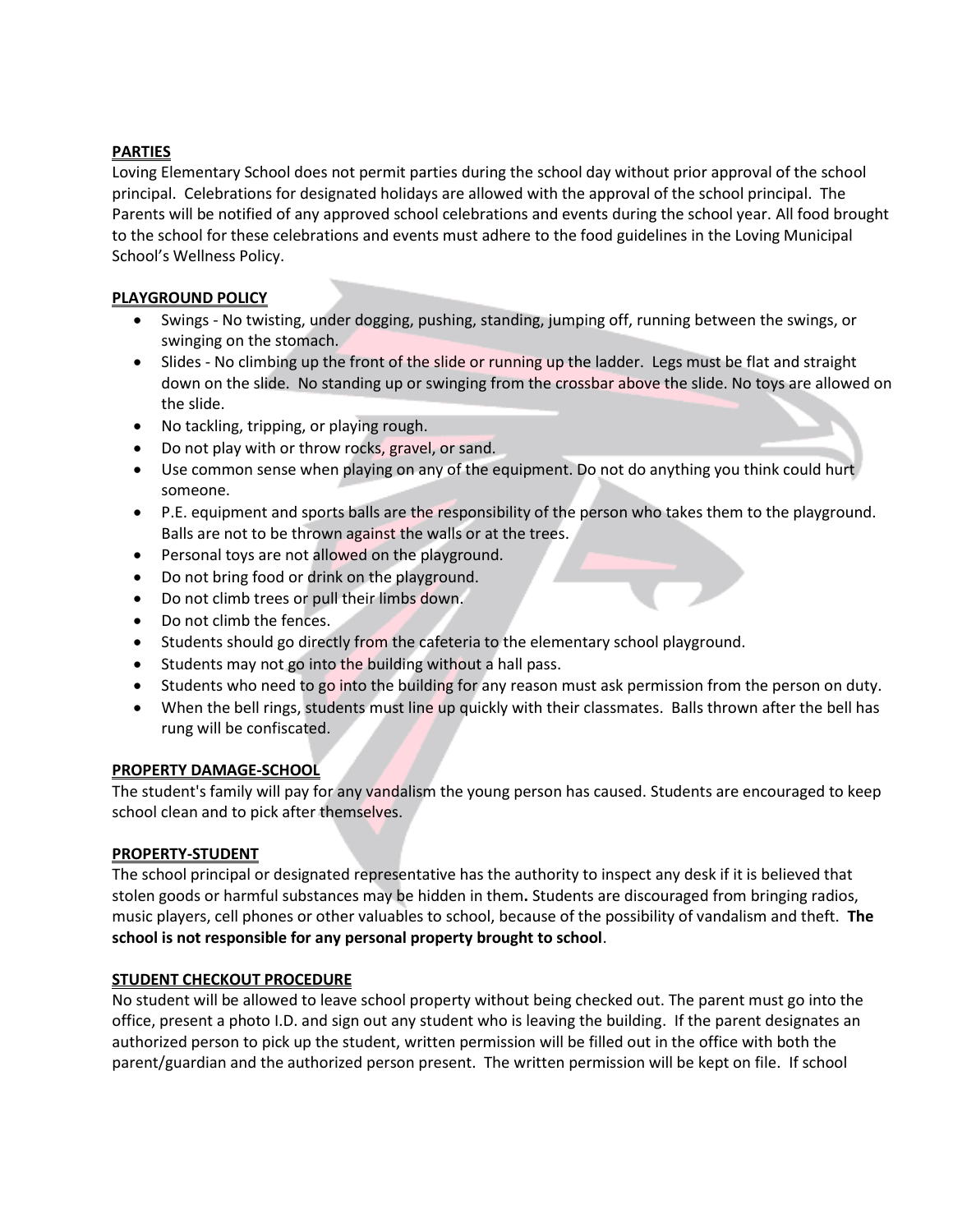## **PARTIES**

Loving Elementary School does not permit parties during the school day without prior approval of the school principal. Celebrations for designated holidays are allowed with the approval of the school principal. The Parents will be notified of any approved school celebrations and events during the school year. All food brought to the school for these celebrations and events must adhere to the food guidelines in the Loving Municipal School's Wellness Policy.

## **PLAYGROUND POLICY**

- Swings No twisting, under dogging, pushing, standing, jumping off, running between the swings, or swinging on the stomach.
- Slides No climbing up the front of the slide or running up the ladder. Legs must be flat and straight down on the slide. No standing up or swinging from the crossbar above the slide. No toys are allowed on the slide.
- No tackling, tripping, or playing rough.
- Do not play with or throw rocks, gravel, or sand.
- Use common sense when playing on any of the equipment. Do not do anything you think could hurt someone.
- P.E. equipment and sports balls are the responsibility of the person who takes them to the playground. Balls are not to be thrown against the walls or at the trees.
- Personal toys are not allowed on the playground.
- Do not bring food or drink on the playground.
- Do not climb trees or pull their limbs down.
- Do not climb the fences.
- Students should go directly from the cafeteria to the elementary school playground.
- Students may not go into the building without a hall pass.
- Students who need to go into the building for any reason must ask permission from the person on duty.
- When the bell rings, students must line up quickly with their classmates. Balls thrown after the bell has rung will be confiscated.

## **PROPERTY DAMAGE-SCHOOL**

The student's family will pay for any vandalism the young person has caused. Students are encouraged to keep school clean and to pick after themselves.

## **PROPERTY-STUDENT**

The school principal or designated representative has the authority to inspect any desk if it is believed that stolen goods or harmful substances may be hidden in them**.** Students are discouraged from bringing radios, music players, cell phones or other valuables to school, because of the possibility of vandalism and theft. **The school is not responsible for any personal property brought to school**.

## **STUDENT CHECKOUT PROCEDURE**

No student will be allowed to leave school property without being checked out. The parent must go into the office, present a photo I.D. and sign out any student who is leaving the building. If the parent designates an authorized person to pick up the student, written permission will be filled out in the office with both the parent/guardian and the authorized person present. The written permission will be kept on file. If school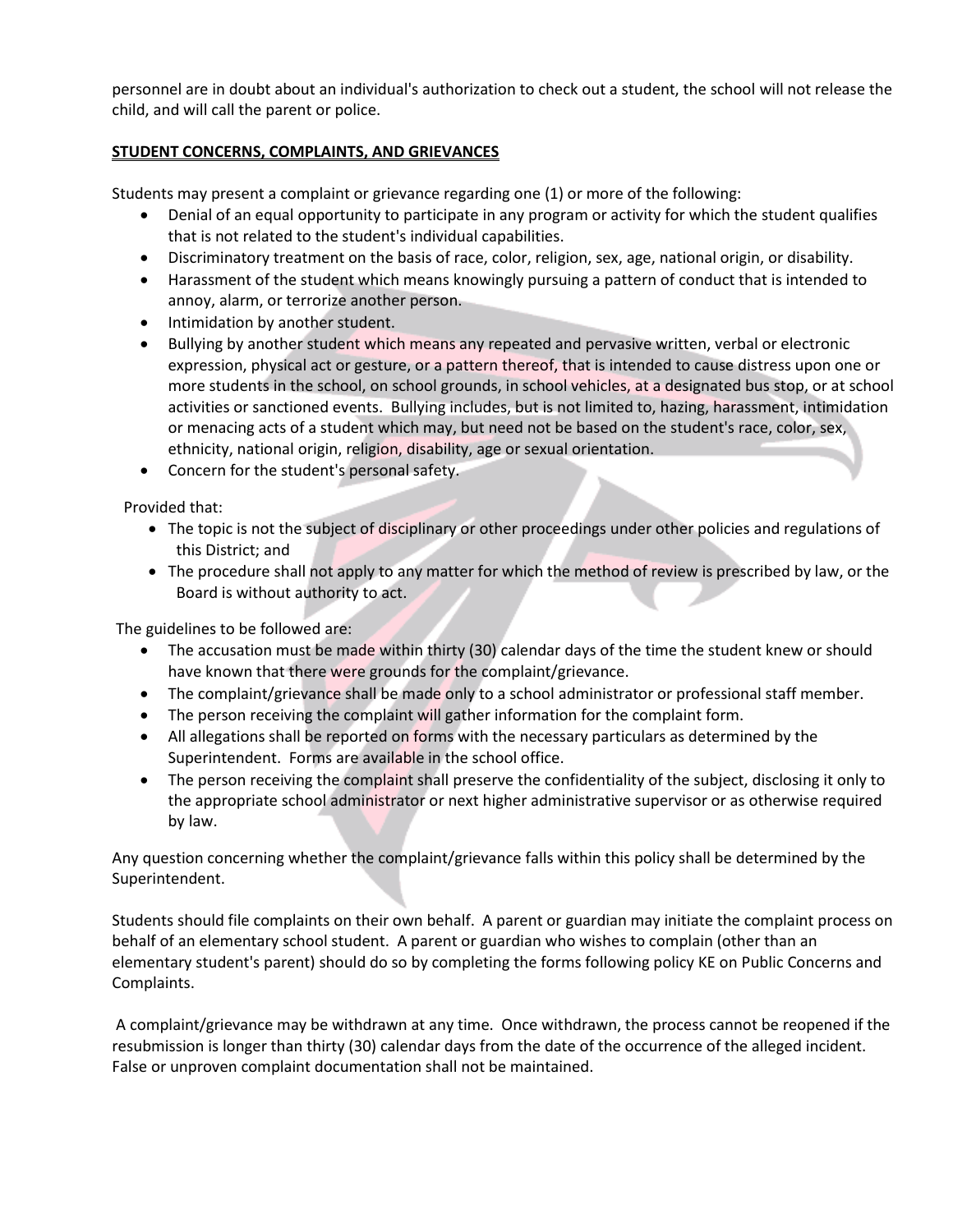personnel are in doubt about an individual's authorization to check out a student, the school will not release the child, and will call the parent or police.

## **STUDENT CONCERNS, COMPLAINTS, AND GRIEVANCES**

Students may present a complaint or grievance regarding one (1) or more of the following:

- Denial of an equal opportunity to participate in any program or activity for which the student qualifies that is not related to the student's individual capabilities.
- Discriminatory treatment on the basis of race, color, religion, sex, age, national origin, or disability.
- Harassment of the student which means knowingly pursuing a pattern of conduct that is intended to annoy, alarm, or terrorize another person.
- Intimidation by another student.
- Bullying by another student which means any repeated and pervasive written, verbal or electronic expression, physical act or gesture, or a pattern thereof, that is intended to cause distress upon one or more students in the school, on school grounds, in school vehicles, at a designated bus stop, or at school activities or sanctioned events. Bullying includes, but is not limited to, hazing, harassment, intimidation or menacing acts of a student which may, but need not be based on the student's race, color, sex, ethnicity, national origin, religion, disability, age or sexual orientation.
- Concern for the student's personal safety.

Provided that:

- The topic is not the subject of disciplinary or other proceedings under other policies and regulations of this District; and
- The procedure shall not apply to any matter for which the method of review is prescribed by law, or the Board is without authority to act.

The guidelines to be followed are:

- The accusation must be made within thirty (30) calendar days of the time the student knew or should have known that there were grounds for the complaint/grievance.
- The complaint/grievance shall be made only to a school administrator or professional staff member.
- The person receiving the complaint will gather information for the complaint form.
- All allegations shall be reported on forms with the necessary particulars as determined by the Superintendent. Forms are available in the school office.
- The person receiving the complaint shall preserve the confidentiality of the subject, disclosing it only to the appropriate school administrator or next higher administrative supervisor or as otherwise required by law.

Any question concerning whether the complaint/grievance falls within this policy shall be determined by the Superintendent.

Students should file complaints on their own behalf. A parent or guardian may initiate the complaint process on behalf of an elementary school student. A parent or guardian who wishes to complain (other than an elementary student's parent) should do so by completing the forms following policy KE on Public Concerns and Complaints.

A complaint/grievance may be withdrawn at any time. Once withdrawn, the process cannot be reopened if the resubmission is longer than thirty (30) calendar days from the date of the occurrence of the alleged incident. False or unproven complaint documentation shall not be maintained.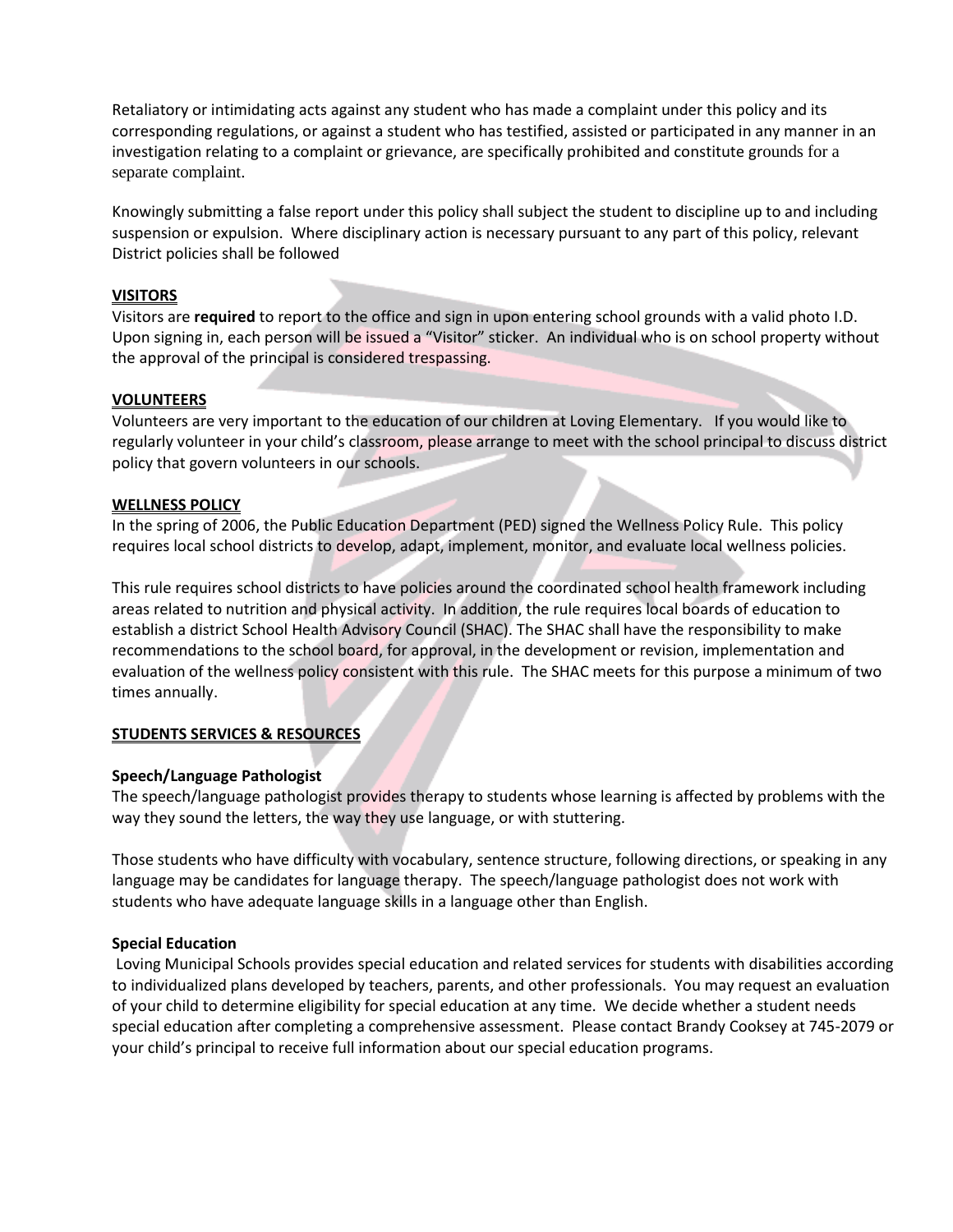Retaliatory or intimidating acts against any student who has made a complaint under this policy and its corresponding regulations, or against a student who has testified, assisted or participated in any manner in an investigation relating to a complaint or grievance, are specifically prohibited and constitute grounds for a separate complaint.

Knowingly submitting a false report under this policy shall subject the student to discipline up to and including suspension or expulsion. Where disciplinary action is necessary pursuant to any part of this policy, relevant District policies shall be followed

#### **VISITORS**

Visitors are **required** to report to the office and sign in upon entering school grounds with a valid photo I.D. Upon signing in, each person will be issued a "Visitor" sticker. An individual who is on school property without the approval of the principal is considered trespassing.

#### **VOLUNTEERS**

Volunteers are very important to the education of our children at Loving Elementary. If you would like to regularly volunteer in your child's classroom, please arrange to meet with the school principal to discuss district policy that govern volunteers in our schools.

#### **WELLNESS POLICY**

In the spring of 2006, the Public Education Department (PED) signed the Wellness Policy Rule. This policy requires local school districts to develop, adapt, implement, monitor, and evaluate local wellness policies.

This rule requires school districts to have policies around the coordinated school health framework including areas related to nutrition and physical activity. In addition, the rule requires local boards of education to establish a district School Health Advisory Council (SHAC). The SHAC shall have the responsibility to make recommendations to the school board, for approval, in the development or revision, implementation and evaluation of the wellness policy consistent with this rule. The SHAC meets for this purpose a minimum of two times annually.

## **STUDENTS SERVICES & RESOURCES**

## **Speech/Language Pathologist**

The speech/language pathologist provides therapy to students whose learning is affected by problems with the way they sound the letters, the way they use language, or with stuttering.

Those students who have difficulty with vocabulary, sentence structure, following directions, or speaking in any language may be candidates for language therapy. The speech/language pathologist does not work with students who have adequate language skills in a language other than English.

#### **Special Education**

Loving Municipal Schools provides special education and related services for students with disabilities according to individualized plans developed by teachers, parents, and other professionals. You may request an evaluation of your child to determine eligibility for special education at any time. We decide whether a student needs special education after completing a comprehensive assessment. Please contact Brandy Cooksey at 745-2079 or your child's principal to receive full information about our special education programs.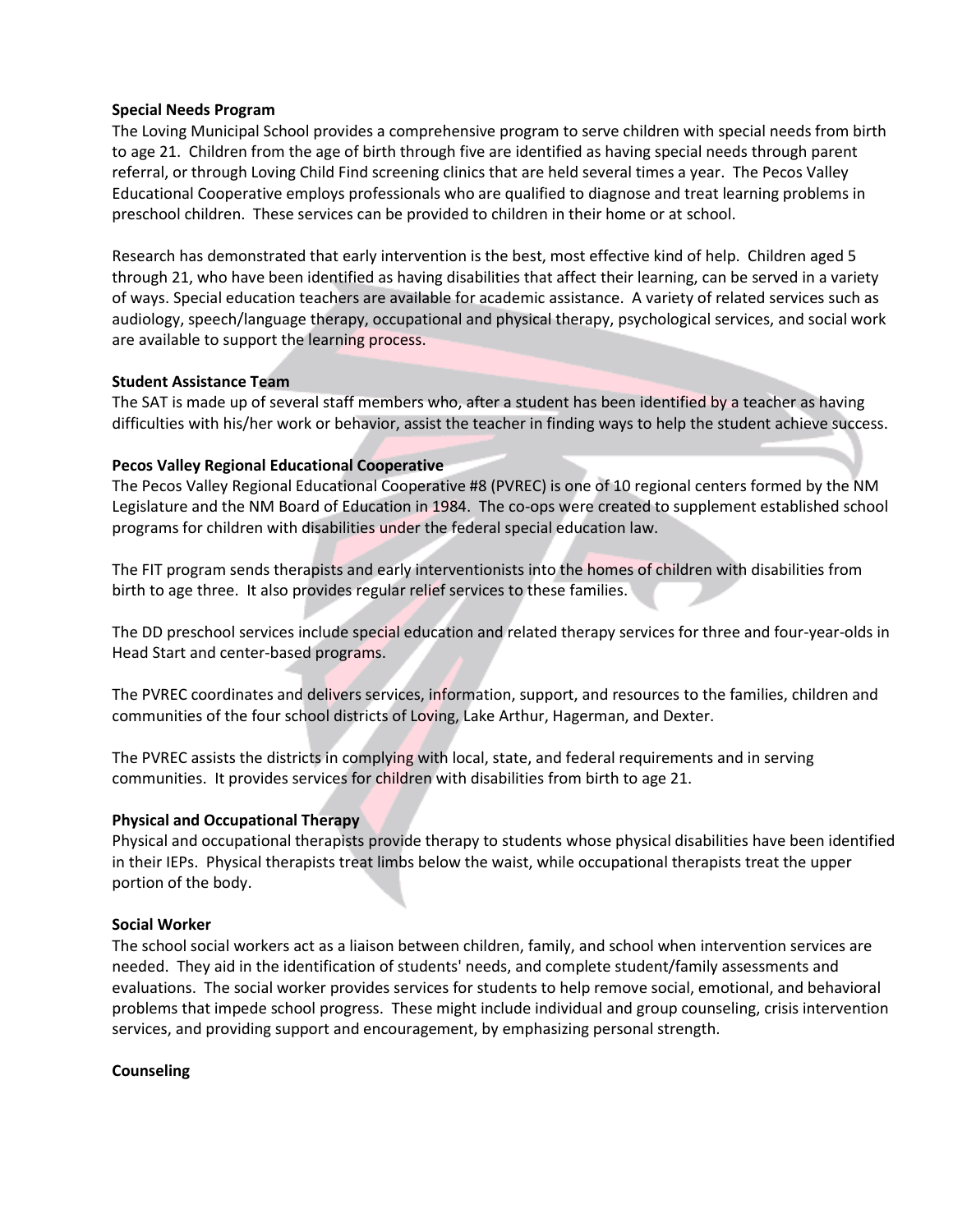#### **Special Needs Program**

The Loving Municipal School provides a comprehensive program to serve children with special needs from birth to age 21. Children from the age of birth through five are identified as having special needs through parent referral, or through Loving Child Find screening clinics that are held several times a year. The Pecos Valley Educational Cooperative employs professionals who are qualified to diagnose and treat learning problems in preschool children. These services can be provided to children in their home or at school.

Research has demonstrated that early intervention is the best, most effective kind of help. Children aged 5 through 21, who have been identified as having disabilities that affect their learning, can be served in a variety of ways. Special education teachers are available for academic assistance. A variety of related services such as audiology, speech/language therapy, occupational and physical therapy, psychological services, and social work are available to support the learning process.

## **Student Assistance Team**

The SAT is made up of several staff members who, after a student has been identified by a teacher as having difficulties with his/her work or behavior, assist the teacher in finding ways to help the student achieve success.

## **Pecos Valley Regional Educational Cooperative**

The Pecos Valley Regional Educational Cooperative #8 (PVREC) is one of 10 regional centers formed by the NM Legislature and the NM Board of Education in 1984. The co-ops were created to supplement established school programs for children with disabilities under the federal special education law.

The FIT program sends therapists and early interventionists into the homes of children with disabilities from birth to age three. It also provides regular relief services to these families.

The DD preschool services include special education and related therapy services for three and four-year-olds in Head Start and center-based programs.

The PVREC coordinates and delivers services, information, support, and resources to the families, children and communities of the four school districts of Loving, Lake Arthur, Hagerman, and Dexter.

The PVREC assists the districts in complying with local, state, and federal requirements and in serving communities. It provides services for children with disabilities from birth to age 21.

## **Physical and Occupational Therapy**

Physical and occupational therapists provide therapy to students whose physical disabilities have been identified in their IEPs. Physical therapists treat limbs below the waist, while occupational therapists treat the upper portion of the body.

## **Social Worker**

The school social workers act as a liaison between children, family, and school when intervention services are needed. They aid in the identification of students' needs, and complete student/family assessments and evaluations. The social worker provides services for students to help remove social, emotional, and behavioral problems that impede school progress. These might include individual and group counseling, crisis intervention services, and providing support and encouragement, by emphasizing personal strength.

#### **Counseling**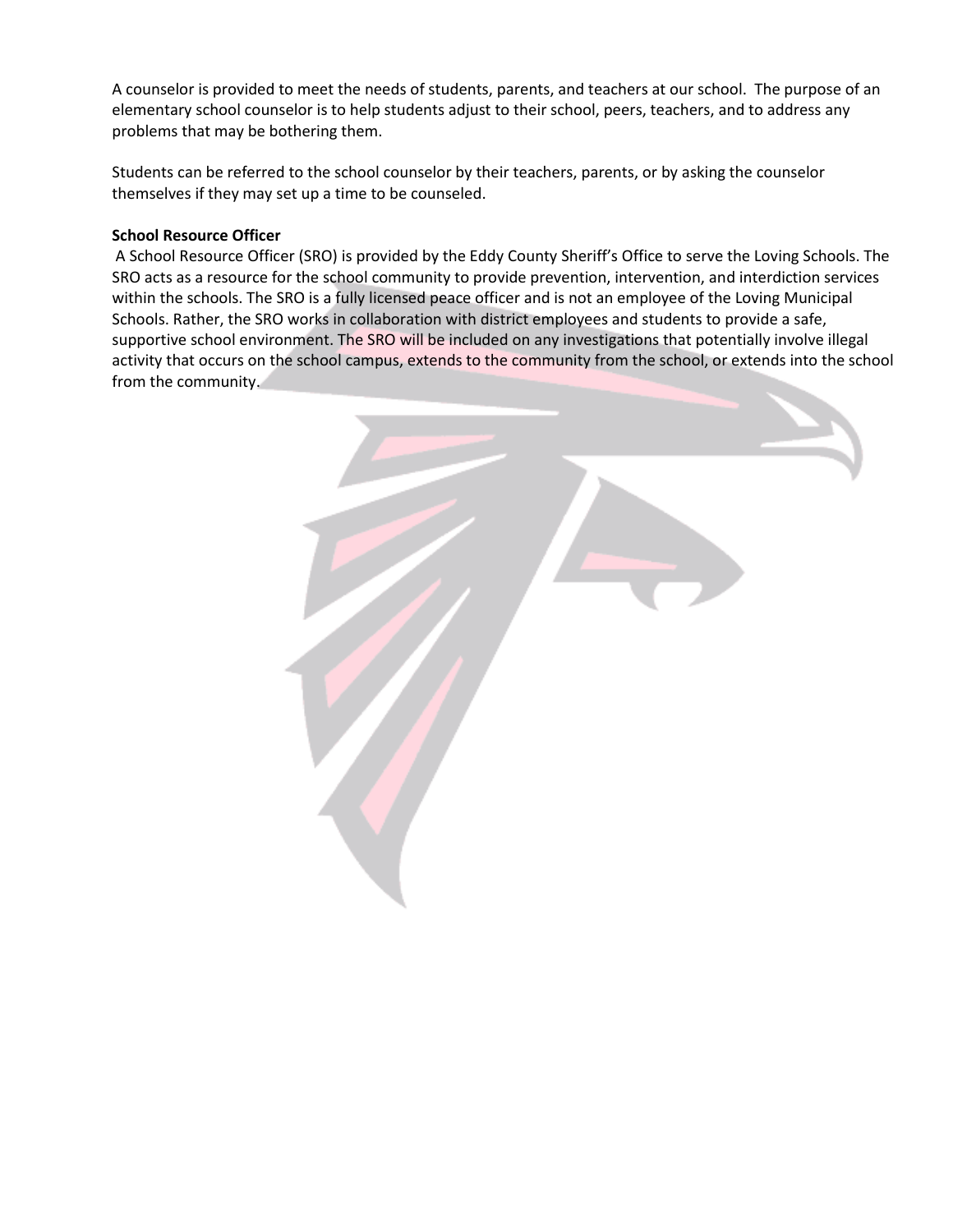A counselor is provided to meet the needs of students, parents, and teachers at our school. The purpose of an elementary school counselor is to help students adjust to their school, peers, teachers, and to address any problems that may be bothering them.

Students can be referred to the school counselor by their teachers, parents, or by asking the counselor themselves if they may set up a time to be counseled.

#### **School Resource Officer**

A School Resource Officer (SRO) is provided by the Eddy County Sheriff's Office to serve the Loving Schools. The SRO acts as a resource for the school community to provide prevention, intervention, and interdiction services within the schools. The SRO is a fully licensed peace officer and is not an employee of the Loving Municipal Schools. Rather, the SRO works in collaboration with district employees and students to provide a safe, supportive school environment. The SRO will be included on any investigations that potentially involve illegal activity that occurs on the school campus, extends to the community from the school, or extends into the school from the community.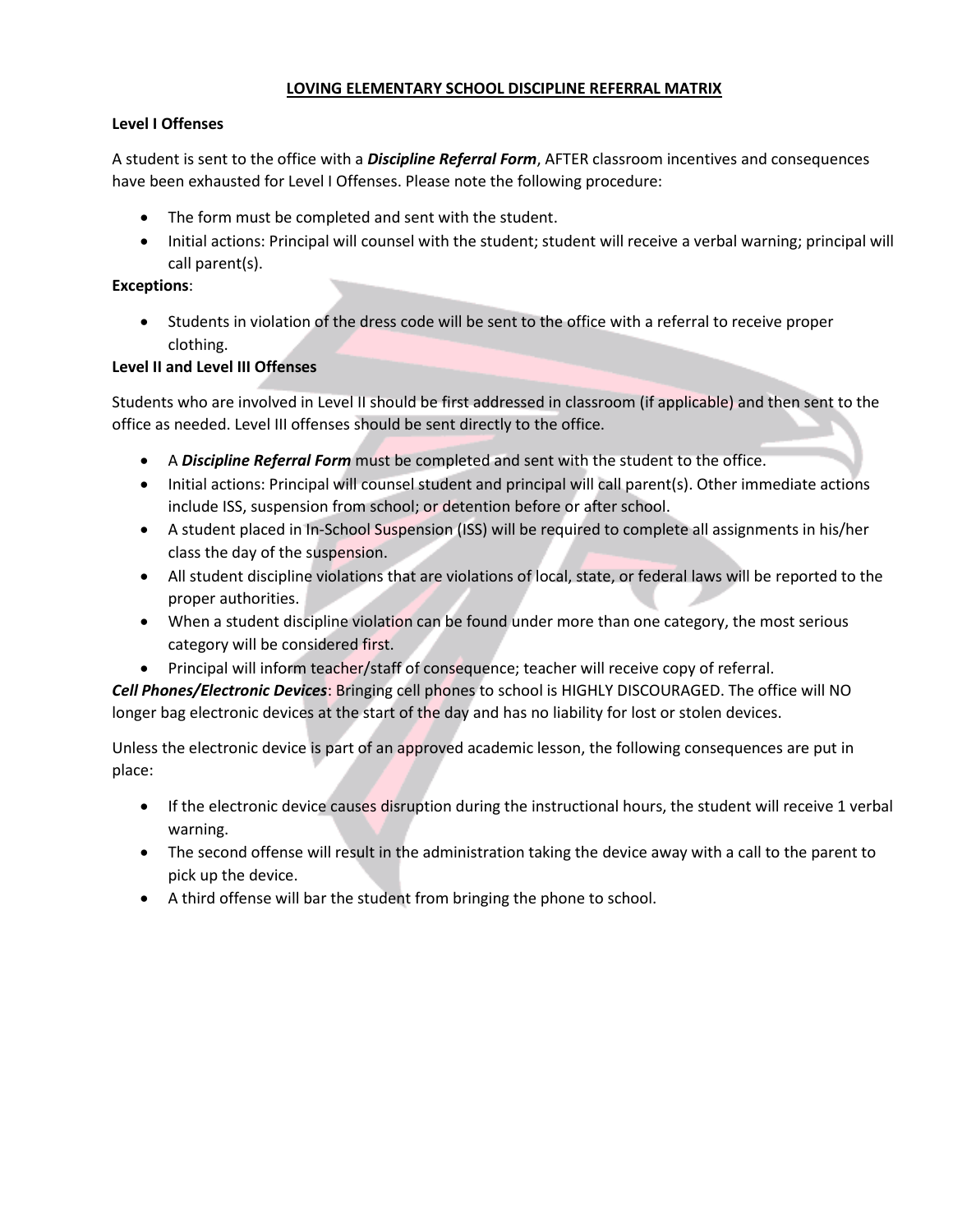# **LOVING ELEMENTARY SCHOOL DISCIPLINE REFERRAL MATRIX**

# **Level I Offenses**

A student is sent to the office with a *Discipline Referral Form*, AFTER classroom incentives and consequences have been exhausted for Level I Offenses. Please note the following procedure:

- The form must be completed and sent with the student.
- Initial actions: Principal will counsel with the student; student will receive a verbal warning; principal will call parent(s).

## **Exceptions**:

 Students in violation of the dress code will be sent to the office with a referral to receive proper clothing.

# **Level II and Level III Offenses**

Students who are involved in Level II should be first addressed in classroom (if applicable) and then sent to the office as needed. Level III offenses should be sent directly to the office.

- A *Discipline Referral Form* must be completed and sent with the student to the office.
- Initial actions: Principal will counsel student and principal will call parent(s). Other immediate actions include ISS, suspension from school; or detention before or after school.
- A student placed in In-School Suspension (ISS) will be required to complete all assignments in his/her class the day of the suspension.
- All student discipline violations that are violations of local, state, or federal laws will be reported to the proper authorities.
- When a student discipline violation can be found under more than one category, the most serious category will be considered first.
- Principal will inform teacher/staff of consequence; teacher will receive copy of referral.

*Cell Phones/Electronic Devices*: Bringing cell phones to school is HIGHLY DISCOURAGED. The office will NO longer bag electronic devices at the start of the day and has no liability for lost or stolen devices.

Unless the electronic device is part of an approved academic lesson, the following consequences are put in place:

- If the electronic device causes disruption during the instructional hours, the student will receive 1 verbal warning.
- The second offense will result in the administration taking the device away with a call to the parent to pick up the device.
- A third offense will bar the student from bringing the phone to school.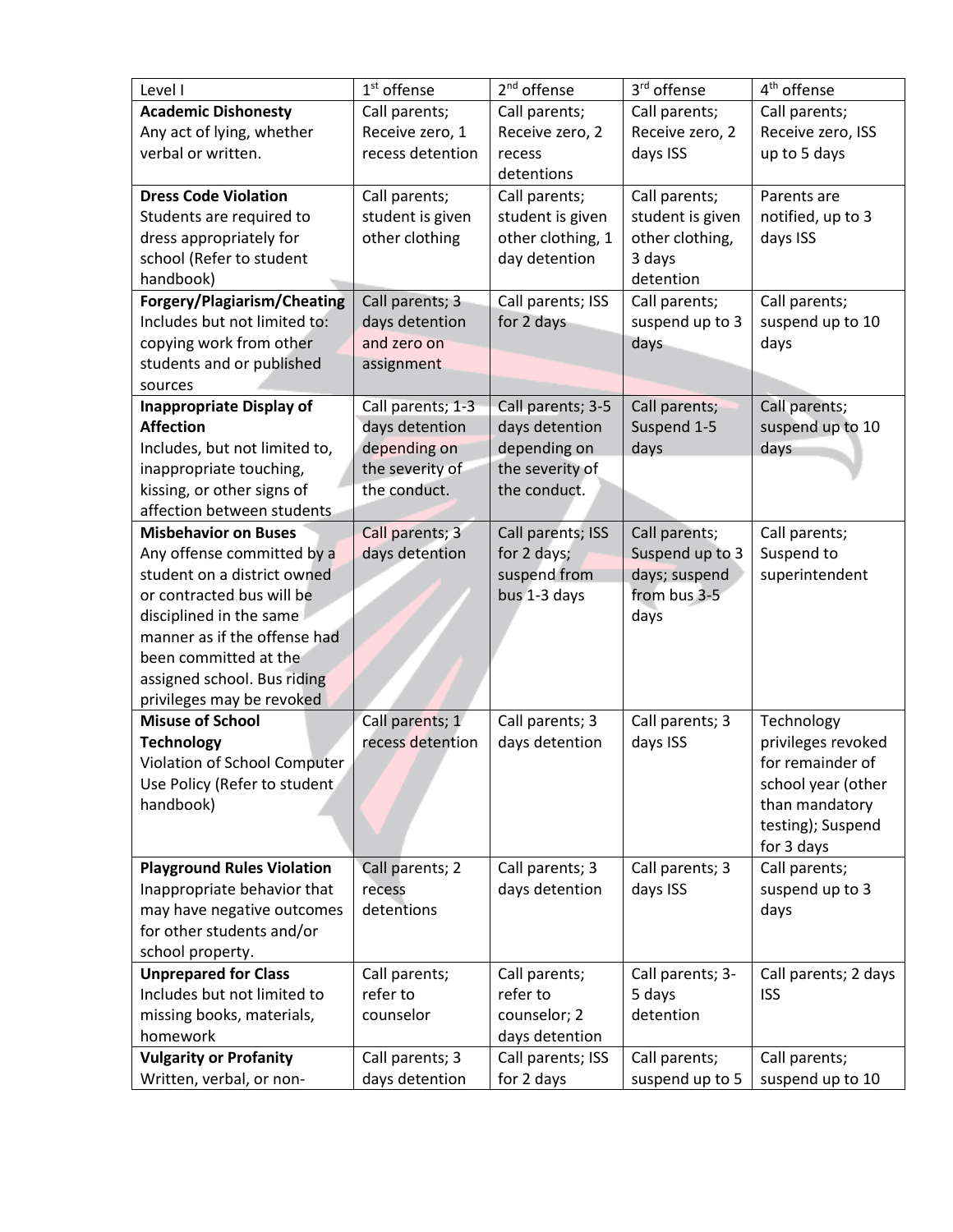| Level I                           | $1st$ offense     | $2nd$ offense     | 3rd offense      | 4 <sup>th</sup> offense |
|-----------------------------------|-------------------|-------------------|------------------|-------------------------|
| <b>Academic Dishonesty</b>        | Call parents;     | Call parents;     | Call parents;    | Call parents;           |
| Any act of lying, whether         | Receive zero, 1   | Receive zero, 2   | Receive zero, 2  | Receive zero, ISS       |
| verbal or written.                | recess detention  | recess            | days ISS         | up to 5 days            |
|                                   |                   | detentions        |                  |                         |
| <b>Dress Code Violation</b>       | Call parents;     | Call parents;     | Call parents;    | Parents are             |
| Students are required to          | student is given  | student is given  | student is given | notified, up to 3       |
| dress appropriately for           | other clothing    | other clothing, 1 | other clothing,  | days ISS                |
| school (Refer to student          |                   | day detention     | 3 days           |                         |
| handbook)                         |                   |                   | detention        |                         |
| Forgery/Plagiarism/Cheating       | Call parents; 3   | Call parents; ISS | Call parents;    | Call parents;           |
| Includes but not limited to:      | days detention    | for 2 days        | suspend up to 3  | suspend up to 10        |
| copying work from other           | and zero on       |                   | days             | days                    |
| students and or published         | assignment        |                   |                  |                         |
| sources                           |                   |                   |                  |                         |
| <b>Inappropriate Display of</b>   | Call parents; 1-3 | Call parents; 3-5 | Call parents;    | Call parents;           |
| <b>Affection</b>                  | days detention    | days detention    | Suspend 1-5      | suspend up to 10        |
| Includes, but not limited to,     | depending on      | depending on      | days             | days                    |
| inappropriate touching,           | the severity of   | the severity of   |                  |                         |
| kissing, or other signs of        | the conduct.      | the conduct.      |                  |                         |
| affection between students        |                   |                   |                  |                         |
| <b>Misbehavior on Buses</b>       | Call parents; 3   | Call parents; ISS | Call parents;    | Call parents;           |
| Any offense committed by a        | days detention    | for 2 days;       | Suspend up to 3  | Suspend to              |
| student on a district owned       |                   | suspend from      | days; suspend    | superintendent          |
| or contracted bus will be         |                   | bus 1-3 days      | from bus 3-5     |                         |
| disciplined in the same           |                   |                   | days             |                         |
| manner as if the offense had      |                   |                   |                  |                         |
| been committed at the             |                   |                   |                  |                         |
| assigned school. Bus riding       |                   |                   |                  |                         |
| privileges may be revoked         |                   |                   |                  |                         |
| <b>Misuse of School</b>           | Call parents; 1   | Call parents; 3   | Call parents; 3  | Technology              |
| <b>Technology</b>                 | recess detention  | days detention    | days ISS         | privileges revoked      |
| Violation of School Computer      |                   |                   |                  | for remainder of        |
| Use Policy (Refer to student      |                   |                   |                  | school year (other      |
| handbook)                         |                   |                   |                  | than mandatory          |
|                                   |                   |                   |                  | testing); Suspend       |
|                                   |                   |                   |                  | for 3 days              |
| <b>Playground Rules Violation</b> | Call parents; 2   | Call parents; 3   | Call parents; 3  | Call parents;           |
| Inappropriate behavior that       | recess            | days detention    | days ISS         | suspend up to 3         |
| may have negative outcomes        | detentions        |                   |                  | days                    |
| for other students and/or         |                   |                   |                  |                         |
| school property.                  |                   |                   |                  |                         |
| <b>Unprepared for Class</b>       | Call parents;     | Call parents;     | Call parents; 3- | Call parents; 2 days    |
| Includes but not limited to       | refer to          | refer to          | 5 days           | <b>ISS</b>              |
| missing books, materials,         | counselor         | counselor; 2      | detention        |                         |
| homework                          |                   | days detention    |                  |                         |
| <b>Vulgarity or Profanity</b>     | Call parents; 3   | Call parents; ISS | Call parents;    | Call parents;           |
| Written, verbal, or non-          | days detention    | for 2 days        | suspend up to 5  | suspend up to 10        |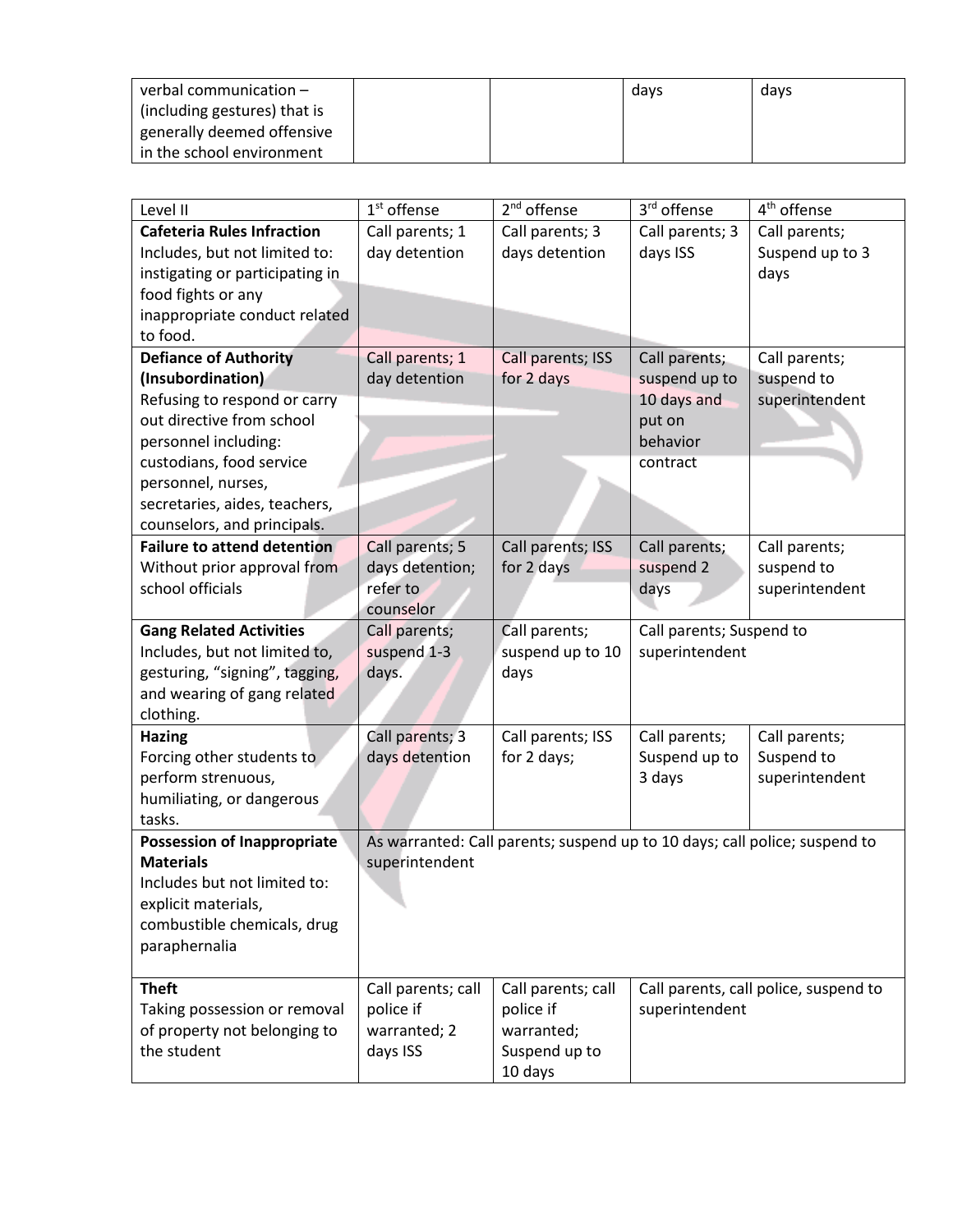| verbal communication –       |  | davs | days |
|------------------------------|--|------|------|
| (including gestures) that is |  |      |      |
| generally deemed offensive   |  |      |      |
| in the school environment    |  |      |      |

| Level II                           | $1st$ offense      | 2 <sup>nd</sup> offense                                                    | 3rd offense              | 4 <sup>th</sup> offense               |
|------------------------------------|--------------------|----------------------------------------------------------------------------|--------------------------|---------------------------------------|
| <b>Cafeteria Rules Infraction</b>  | Call parents; 1    | Call parents; 3                                                            | Call parents; 3          | Call parents;                         |
| Includes, but not limited to:      | day detention      | days detention                                                             | days ISS                 | Suspend up to 3                       |
| instigating or participating in    |                    |                                                                            |                          | days                                  |
| food fights or any                 |                    |                                                                            |                          |                                       |
| inappropriate conduct related      |                    |                                                                            |                          |                                       |
| to food.                           |                    |                                                                            |                          |                                       |
| <b>Defiance of Authority</b>       | Call parents; 1    | Call parents; ISS                                                          | Call parents;            | Call parents;                         |
| (Insubordination)                  | day detention      | for 2 days                                                                 | suspend up to            | suspend to                            |
| Refusing to respond or carry       |                    |                                                                            | 10 days and              | superintendent                        |
| out directive from school          |                    |                                                                            | put on                   |                                       |
| personnel including:               |                    |                                                                            | behavior                 |                                       |
| custodians, food service           |                    |                                                                            | contract                 |                                       |
| personnel, nurses,                 |                    |                                                                            |                          |                                       |
| secretaries, aides, teachers,      |                    |                                                                            |                          |                                       |
| counselors, and principals.        |                    |                                                                            |                          |                                       |
| <b>Failure to attend detention</b> | Call parents; 5    | Call parents; ISS                                                          | Call parents;            | Call parents;                         |
| Without prior approval from        | days detention;    | for 2 days                                                                 | suspend 2                | suspend to                            |
| school officials                   | refer to           |                                                                            | days                     | superintendent                        |
|                                    | counselor          |                                                                            |                          |                                       |
| <b>Gang Related Activities</b>     | Call parents;      | Call parents;                                                              | Call parents; Suspend to |                                       |
| Includes, but not limited to,      | suspend 1-3        | suspend up to 10                                                           | superintendent           |                                       |
| gesturing, "signing", tagging,     | days.              | days                                                                       |                          |                                       |
| and wearing of gang related        |                    |                                                                            |                          |                                       |
| clothing.                          |                    |                                                                            |                          |                                       |
| <b>Hazing</b>                      | Call parents; 3    | Call parents; ISS                                                          | Call parents;            | Call parents;                         |
| Forcing other students to          | days detention     | for 2 days;                                                                | Suspend up to            | Suspend to                            |
| perform strenuous,                 |                    |                                                                            | 3 days                   | superintendent                        |
| humiliating, or dangerous          |                    |                                                                            |                          |                                       |
| tasks.                             |                    |                                                                            |                          |                                       |
| <b>Possession of Inappropriate</b> |                    | As warranted: Call parents; suspend up to 10 days; call police; suspend to |                          |                                       |
| <b>Materials</b>                   | superintendent     |                                                                            |                          |                                       |
| Includes but not limited to:       |                    |                                                                            |                          |                                       |
| explicit materials,                |                    |                                                                            |                          |                                       |
| combustible chemicals, drug        |                    |                                                                            |                          |                                       |
| paraphernalia                      |                    |                                                                            |                          |                                       |
|                                    |                    |                                                                            |                          |                                       |
| <b>Theft</b>                       | Call parents; call | Call parents; call                                                         |                          | Call parents, call police, suspend to |
| Taking possession or removal       | police if          | police if                                                                  | superintendent           |                                       |
| of property not belonging to       | warranted; 2       | warranted;                                                                 |                          |                                       |
| the student                        | days ISS           | Suspend up to                                                              |                          |                                       |
|                                    |                    | 10 days                                                                    |                          |                                       |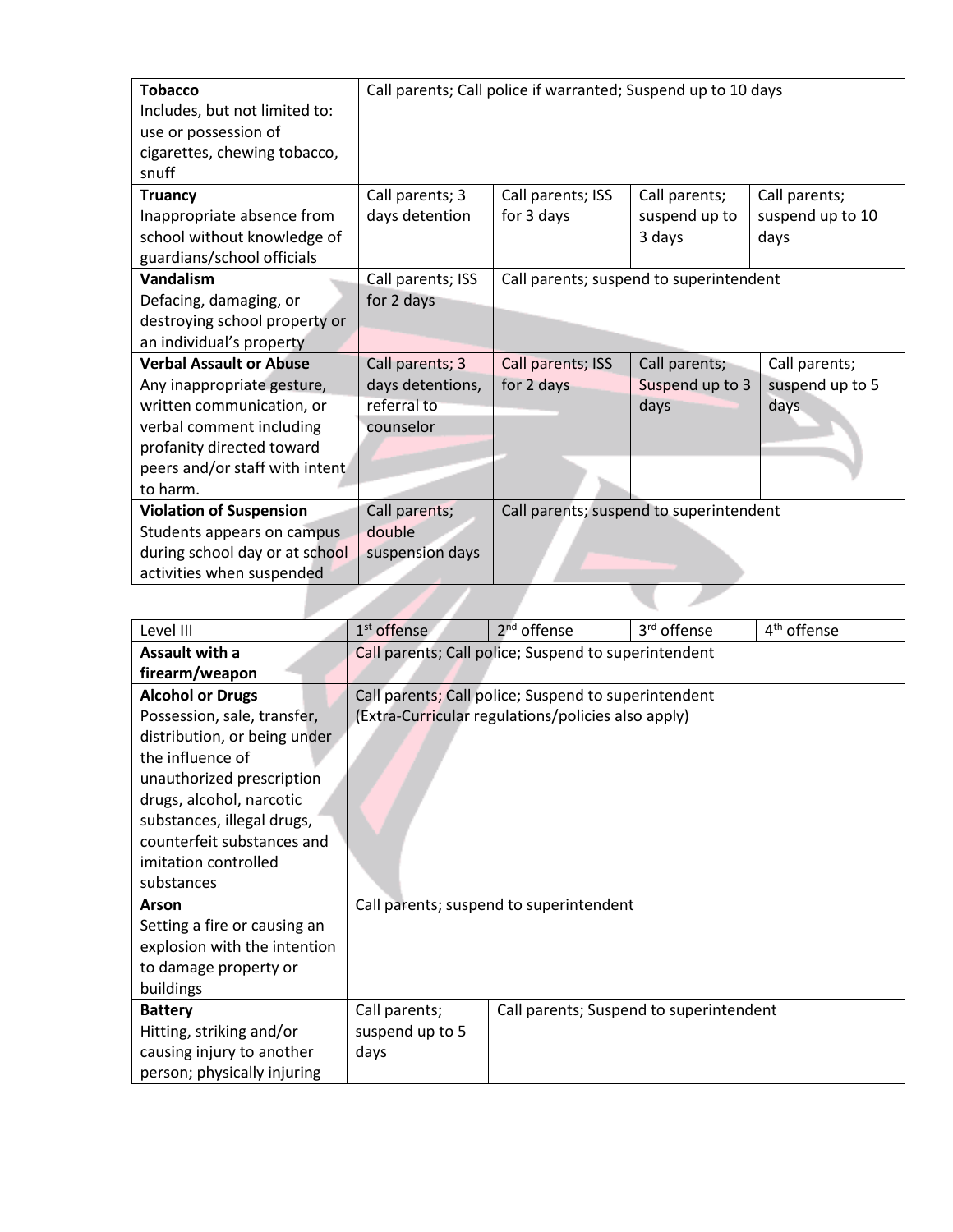| <b>Tobacco</b>                 |                   | Call parents; Call police if warranted; Suspend up to 10 days |                 |                  |
|--------------------------------|-------------------|---------------------------------------------------------------|-----------------|------------------|
| Includes, but not limited to:  |                   |                                                               |                 |                  |
| use or possession of           |                   |                                                               |                 |                  |
| cigarettes, chewing tobacco,   |                   |                                                               |                 |                  |
| snuff                          |                   |                                                               |                 |                  |
| <b>Truancy</b>                 | Call parents; 3   | Call parents; ISS                                             | Call parents;   | Call parents;    |
| Inappropriate absence from     | days detention    | for 3 days                                                    | suspend up to   | suspend up to 10 |
| school without knowledge of    |                   |                                                               | 3 days          | days             |
| guardians/school officials     |                   |                                                               |                 |                  |
| Vandalism                      | Call parents; ISS | Call parents; suspend to superintendent                       |                 |                  |
| Defacing, damaging, or         | for 2 days        |                                                               |                 |                  |
| destroying school property or  |                   |                                                               |                 |                  |
| an individual's property       |                   |                                                               |                 |                  |
| <b>Verbal Assault or Abuse</b> | Call parents; 3   | Call parents; ISS                                             | Call parents;   | Call parents;    |
| Any inappropriate gesture,     | days detentions,  | for 2 days                                                    | Suspend up to 3 | suspend up to 5  |
| written communication, or      | referral to       |                                                               | days            | days             |
| verbal comment including       | counselor         |                                                               |                 |                  |
| profanity directed toward      |                   |                                                               |                 |                  |
| peers and/or staff with intent |                   |                                                               |                 |                  |
| to harm.                       |                   |                                                               |                 |                  |
| <b>Violation of Suspension</b> | Call parents;     | Call parents; suspend to superintendent                       |                 |                  |
| Students appears on campus     | double            |                                                               |                 |                  |
| during school day or at school | suspension days   |                                                               |                 |                  |
| activities when suspended      |                   |                                                               |                 |                  |

| Level III                    | $1st$ offense   | 2 <sup>nd</sup> offense                              | 3 <sup>rd</sup> offense | 4 <sup>th</sup> offense |
|------------------------------|-----------------|------------------------------------------------------|-------------------------|-------------------------|
| Assault with a               |                 | Call parents; Call police; Suspend to superintendent |                         |                         |
| firearm/weapon               |                 |                                                      |                         |                         |
| <b>Alcohol or Drugs</b>      |                 | Call parents; Call police; Suspend to superintendent |                         |                         |
| Possession, sale, transfer,  |                 | (Extra-Curricular regulations/policies also apply)   |                         |                         |
| distribution, or being under |                 |                                                      |                         |                         |
| the influence of             |                 |                                                      |                         |                         |
| unauthorized prescription    |                 |                                                      |                         |                         |
| drugs, alcohol, narcotic     |                 |                                                      |                         |                         |
| substances, illegal drugs,   |                 |                                                      |                         |                         |
| counterfeit substances and   |                 |                                                      |                         |                         |
| imitation controlled         |                 |                                                      |                         |                         |
| substances                   |                 |                                                      |                         |                         |
| Arson                        |                 | Call parents; suspend to superintendent              |                         |                         |
| Setting a fire or causing an |                 |                                                      |                         |                         |
| explosion with the intention |                 |                                                      |                         |                         |
| to damage property or        |                 |                                                      |                         |                         |
| buildings                    |                 |                                                      |                         |                         |
| <b>Battery</b>               | Call parents;   | Call parents; Suspend to superintendent              |                         |                         |
| Hitting, striking and/or     | suspend up to 5 |                                                      |                         |                         |
| causing injury to another    | days            |                                                      |                         |                         |
| person; physically injuring  |                 |                                                      |                         |                         |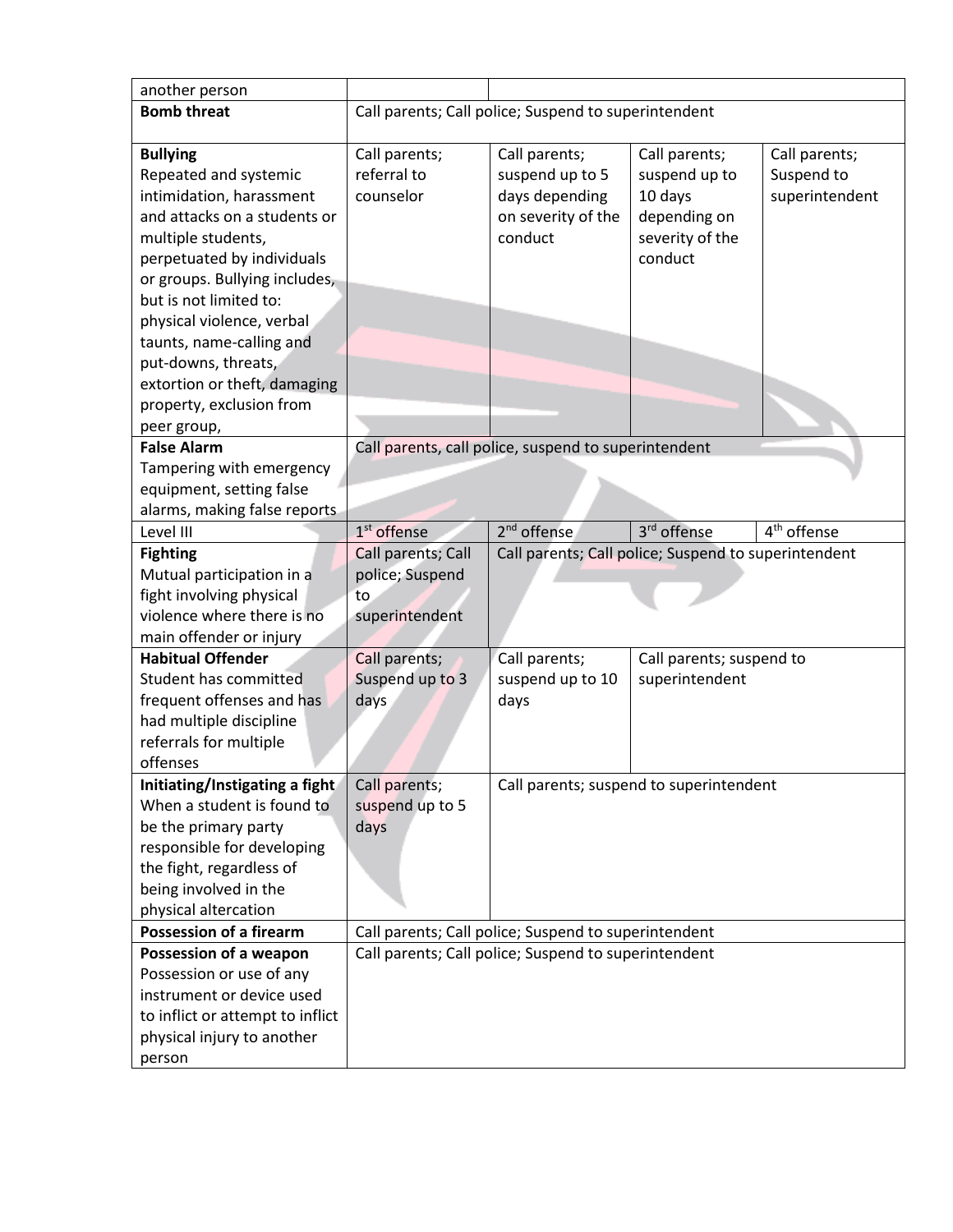| another person                   |                                                      |                                                      |                          |                             |
|----------------------------------|------------------------------------------------------|------------------------------------------------------|--------------------------|-----------------------------|
| <b>Bomb threat</b>               |                                                      | Call parents; Call police; Suspend to superintendent |                          |                             |
|                                  |                                                      |                                                      |                          |                             |
| <b>Bullying</b>                  | Call parents;                                        | Call parents;                                        | Call parents;            | Call parents;               |
| Repeated and systemic            | referral to                                          | suspend up to 5                                      | suspend up to            | Suspend to                  |
| intimidation, harassment         | counselor                                            | days depending                                       | 10 days                  | superintendent              |
| and attacks on a students or     |                                                      | on severity of the                                   | depending on             |                             |
| multiple students,               |                                                      | conduct                                              | severity of the          |                             |
| perpetuated by individuals       |                                                      |                                                      | conduct                  |                             |
| or groups. Bullying includes,    |                                                      |                                                      |                          |                             |
| but is not limited to:           |                                                      |                                                      |                          |                             |
| physical violence, verbal        |                                                      |                                                      |                          |                             |
| taunts, name-calling and         |                                                      |                                                      |                          |                             |
| put-downs, threats,              |                                                      |                                                      |                          |                             |
| extortion or theft, damaging     |                                                      |                                                      |                          |                             |
| property, exclusion from         |                                                      |                                                      |                          |                             |
| peer group,                      |                                                      |                                                      |                          |                             |
| <b>False Alarm</b>               |                                                      | Call parents, call police, suspend to superintendent |                          |                             |
| Tampering with emergency         |                                                      |                                                      |                          |                             |
| equipment, setting false         |                                                      |                                                      |                          |                             |
| alarms, making false reports     |                                                      |                                                      |                          |                             |
| Level III                        | 1 <sup>st</sup> offense                              | 2 <sup>nd</sup> offense                              | 3rd offense              | $\overline{4^{th}}$ offense |
| <b>Fighting</b>                  | Call parents; Call                                   | Call parents; Call police; Suspend to superintendent |                          |                             |
| Mutual participation in a        | police; Suspend                                      |                                                      |                          |                             |
| fight involving physical         | to                                                   |                                                      |                          |                             |
| violence where there is no       | superintendent                                       |                                                      |                          |                             |
| main offender or injury          |                                                      |                                                      |                          |                             |
| <b>Habitual Offender</b>         | Call parents;                                        | Call parents;                                        | Call parents; suspend to |                             |
| Student has committed            | Suspend up to 3                                      | suspend up to 10                                     | superintendent           |                             |
| frequent offenses and has        | days                                                 | days                                                 |                          |                             |
| had multiple discipline          |                                                      |                                                      |                          |                             |
| referrals for multiple           |                                                      |                                                      |                          |                             |
| offenses                         |                                                      |                                                      |                          |                             |
| Initiating/Instigating a fight   | Call parents;                                        | Call parents; suspend to superintendent              |                          |                             |
| When a student is found to       | suspend up to 5                                      |                                                      |                          |                             |
| be the primary party             | days                                                 |                                                      |                          |                             |
| responsible for developing       |                                                      |                                                      |                          |                             |
| the fight, regardless of         |                                                      |                                                      |                          |                             |
| being involved in the            |                                                      |                                                      |                          |                             |
| physical altercation             |                                                      |                                                      |                          |                             |
| <b>Possession of a firearm</b>   |                                                      | Call parents; Call police; Suspend to superintendent |                          |                             |
| Possession of a weapon           | Call parents; Call police; Suspend to superintendent |                                                      |                          |                             |
| Possession or use of any         |                                                      |                                                      |                          |                             |
| instrument or device used        |                                                      |                                                      |                          |                             |
| to inflict or attempt to inflict |                                                      |                                                      |                          |                             |
| physical injury to another       |                                                      |                                                      |                          |                             |
| person                           |                                                      |                                                      |                          |                             |